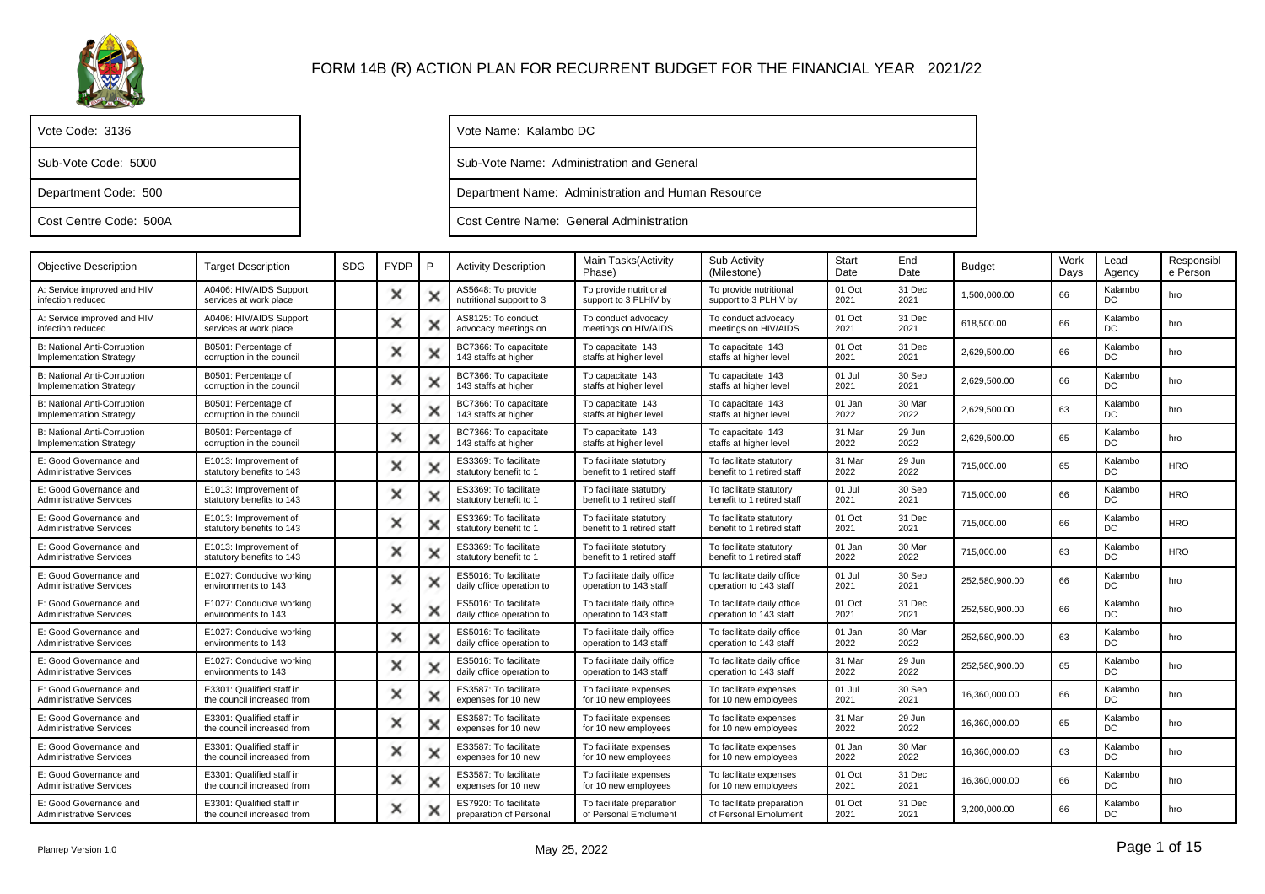

| Vote Code: 3136        |
|------------------------|
| Sub-Vote Code: 5000    |
| Department Code: 500   |
| Cost Centre Code: 500A |

Vote Name: Kalambo DC

Sub-Vote Name: Administration and General

Department Name: Administration and Human Resource

Cost Centre Name: General Administration

| <b>Objective Description</b>                                         | <b>Target Description</b>                               | <b>SDG</b> | <b>FYDP</b> | P | <b>Activity Description</b>                        | Main Tasks(Activity<br>Phase)                         | Sub Activity<br>(Milestone)                           | Start<br>Date  | End<br>Date    | <b>Budget</b>  | Work<br>Days | Lead<br>Agency | Responsibl<br>e Person |
|----------------------------------------------------------------------|---------------------------------------------------------|------------|-------------|---|----------------------------------------------------|-------------------------------------------------------|-------------------------------------------------------|----------------|----------------|----------------|--------------|----------------|------------------------|
| A: Service improved and HIV<br>infection reduced                     | A0406: HIV/AIDS Support<br>services at work place       |            | ×           |   | AS5648: To provide<br>nutritional support to 3     | To provide nutritional<br>support to 3 PLHIV by       | To provide nutritional<br>support to 3 PLHIV by       | 01 Oct<br>2021 | 31 Dec<br>2021 | 1.500.000.00   | 66           | Kalambo<br>DC  | hro                    |
| A: Service improved and HIV<br>infection reduced                     | A0406: HIV/AIDS Support<br>services at work place       |            | ×           |   | AS8125: To conduct<br>advocacy meetings on         | To conduct advocacy<br>meetings on HIV/AIDS           | To conduct advocacy<br>meetings on HIV/AIDS           | 01 Oct<br>2021 | 31 Dec<br>2021 | 618.500.00     | 66           | Kalambo<br>DC  | hro                    |
| <b>B: National Anti-Corruption</b><br>Implementation Strategy        | B0501: Percentage of<br>corruption in the council       |            | ×           |   | BC7366: To capacitate<br>143 staffs at higher      | To capacitate 143<br>staffs at higher level           | To capacitate 143<br>staffs at higher level           | 01 Oct<br>2021 | 31 Dec<br>2021 | 2,629,500.00   | 66           | Kalambo<br>DC  | hro                    |
| <b>B: National Anti-Corruption</b><br><b>Implementation Strategy</b> | B0501: Percentage of<br>corruption in the council       |            | ×           |   | BC7366: To capacitate<br>143 staffs at higher      | To capacitate 143<br>staffs at higher level           | To capacitate 143<br>staffs at higher level           | 01 Jul<br>2021 | 30 Sep<br>2021 | 2,629,500.00   | 66           | Kalambo<br>DC  | hro                    |
| <b>B: National Anti-Corruption</b><br><b>Implementation Strategy</b> | B0501: Percentage of<br>corruption in the council       |            | ×           | × | BC7366: To capacitate<br>143 staffs at higher      | To capacitate 143<br>staffs at higher level           | To capacitate 143<br>staffs at higher level           | 01 Jan<br>2022 | 30 Mar<br>2022 | 2,629,500.00   | 63           | Kalambo<br>DC. | hro                    |
| <b>B: National Anti-Corruption</b><br><b>Implementation Strategy</b> | B0501: Percentage of<br>corruption in the council       |            | ×           |   | BC7366: To capacitate<br>143 staffs at higher      | To capacitate 143<br>staffs at higher level           | To capacitate 143<br>staffs at higher level           | 31 Mar<br>2022 | 29 Jun<br>2022 | 2,629,500.00   | 65           | Kalambo<br>DC  | hro                    |
| E: Good Governance and<br><b>Administrative Services</b>             | E1013: Improvement of<br>statutory benefits to 143      |            | ×           |   | ES3369: To facilitate<br>statutory benefit to 1    | To facilitate statutory<br>benefit to 1 retired staff | To facilitate statutory<br>benefit to 1 retired staff | 31 Mar<br>2022 | 29 Jun<br>2022 | 715,000.00     | 65           | Kalambo<br>DC  | <b>HRO</b>             |
| E: Good Governance and<br><b>Administrative Services</b>             | E1013: Improvement of<br>statutory benefits to 143      |            | ×           |   | ES3369: To facilitate<br>statutory benefit to 1    | To facilitate statutory<br>benefit to 1 retired staff | To facilitate statutory<br>benefit to 1 retired staff | 01 Jul<br>2021 | 30 Sep<br>2021 | 715,000.00     | 66           | Kalambo<br>DC  | <b>HRO</b>             |
| E: Good Governance and<br><b>Administrative Services</b>             | E1013: Improvement of<br>statutory benefits to 143      |            | ×           |   | ES3369: To facilitate<br>statutory benefit to 1    | To facilitate statutory<br>benefit to 1 retired staff | To facilitate statutory<br>benefit to 1 retired staff | 01 Oct<br>2021 | 31 Dec<br>2021 | 715.000.00     | 66           | Kalambo<br>DC  | <b>HRO</b>             |
| E: Good Governance and<br><b>Administrative Services</b>             | E1013: Improvement of<br>statutory benefits to 143      |            | ×           |   | ES3369: To facilitate<br>statutory benefit to 1    | To facilitate statutory<br>benefit to 1 retired staff | To facilitate statutory<br>benefit to 1 retired staff | 01 Jan<br>2022 | 30 Mar<br>2022 | 715,000.00     | 63           | Kalambo<br>DC  | <b>HRO</b>             |
| E: Good Governance and<br><b>Administrative Services</b>             | E1027: Conducive working<br>environments to 143         |            | ×           |   | ES5016: To facilitate<br>daily office operation to | To facilitate daily office<br>operation to 143 staff  | To facilitate daily office<br>operation to 143 staff  | 01 Jul<br>2021 | 30 Sep<br>2021 | 252,580,900.00 | 66           | Kalambo<br>DC  | hro                    |
| E: Good Governance and<br><b>Administrative Services</b>             | E1027: Conducive working<br>environments to 143         |            | ×           | × | ES5016: To facilitate<br>daily office operation to | To facilitate daily office<br>operation to 143 staff  | To facilitate daily office<br>operation to 143 staff  | 01 Oct<br>2021 | 31 Dec<br>2021 | 252,580,900.00 | 66           | Kalambo<br>DC  | hro                    |
| E: Good Governance and<br><b>Administrative Services</b>             | E1027: Conducive working<br>environments to 143         |            | ×           |   | ES5016: To facilitate<br>daily office operation to | To facilitate daily office<br>operation to 143 staff  | To facilitate daily office<br>operation to 143 staff  | 01 Jan<br>2022 | 30 Mar<br>2022 | 252,580,900.00 | 63           | Kalambo<br>DC  | hro                    |
| E: Good Governance and<br><b>Administrative Services</b>             | E1027: Conducive working<br>environments to 143         |            | ×           | × | ES5016: To facilitate<br>daily office operation to | To facilitate daily office<br>operation to 143 staff  | To facilitate daily office<br>operation to 143 staff  | 31 Mar<br>2022 | 29 Jun<br>2022 | 252,580,900.00 | 65           | Kalambo<br>DC  | hro                    |
| E: Good Governance and<br><b>Administrative Services</b>             | E3301: Qualified staff in<br>the council increased from |            | ×           |   | ES3587: To facilitate<br>expenses for 10 new       | To facilitate expenses<br>for 10 new employees        | To facilitate expenses<br>for 10 new employees        | 01 Jul<br>2021 | 30 Sep<br>2021 | 16,360,000.00  | 66           | Kalambo<br>DC  | hro                    |
| E: Good Governance and<br><b>Administrative Services</b>             | E3301: Qualified staff in<br>the council increased from |            | ×           |   | ES3587: To facilitate<br>expenses for 10 new       | To facilitate expenses<br>for 10 new employees        | To facilitate expenses<br>for 10 new employees        | 31 Mar<br>2022 | 29 Jun<br>2022 | 16,360,000.00  | 65           | Kalambo<br>DC. | hro                    |
| E: Good Governance and<br><b>Administrative Services</b>             | E3301: Qualified staff in<br>the council increased from |            | ×           | × | ES3587: To facilitate<br>expenses for 10 new       | To facilitate expenses<br>for 10 new employees        | To facilitate expenses<br>for 10 new employees        | 01 Jan<br>2022 | 30 Mar<br>2022 | 16.360.000.00  | 63           | Kalambo<br>DC  | hro                    |
| E: Good Governance and<br><b>Administrative Services</b>             | E3301: Qualified staff in<br>the council increased from |            | ×           |   | ES3587: To facilitate<br>expenses for 10 new       | To facilitate expenses<br>for 10 new employees        | To facilitate expenses<br>for 10 new employees        | 01 Oct<br>2021 | 31 Dec<br>2021 | 16,360,000.00  | 66           | Kalambo<br>DC  | hro                    |
| E: Good Governance and<br><b>Administrative Services</b>             | E3301: Qualified staff in<br>the council increased from |            | ×           | × | ES7920: To facilitate<br>preparation of Personal   | To facilitate preparation<br>of Personal Emolument    | To facilitate preparation<br>of Personal Emolument    | 01 Oct<br>2021 | 31 Dec<br>2021 | 3.200.000.00   | 66           | Kalambo<br>DC  | hro                    |
|                                                                      |                                                         |            |             |   |                                                    |                                                       |                                                       |                |                |                |              |                |                        |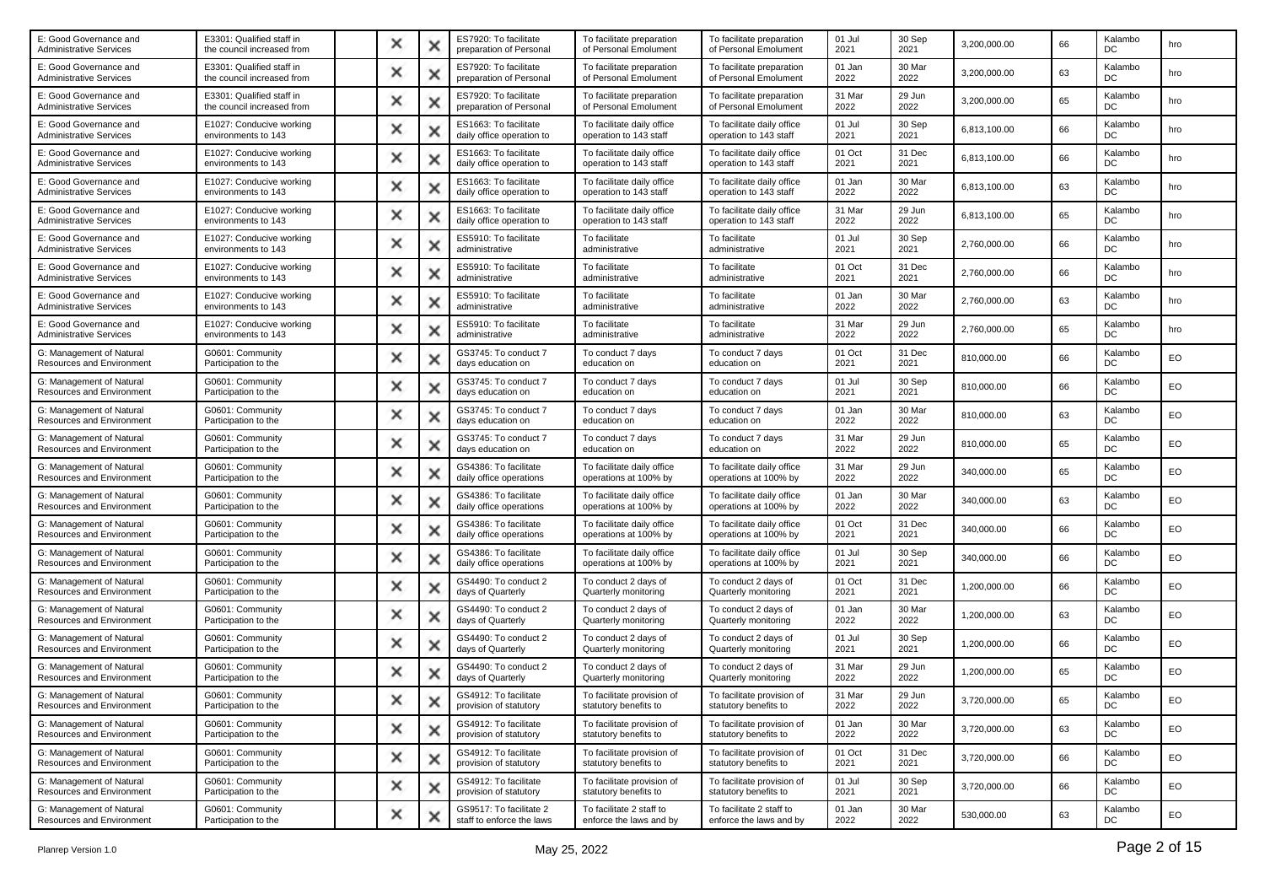| E: Good Governance and<br><b>Administrative Services</b>     | E3301: Qualified staff in<br>the council increased from | × | x | ES7920: To facilitate<br>preparation of Personal     | To facilitate preparation<br>of Personal Emolument   | To facilitate preparation<br>of Personal Emolument   | 01 Jul<br>2021 | 30 Sep<br>2021 | 3,200,000.00 | 66 | Kalambo<br>DC | hro |
|--------------------------------------------------------------|---------------------------------------------------------|---|---|------------------------------------------------------|------------------------------------------------------|------------------------------------------------------|----------------|----------------|--------------|----|---------------|-----|
| E: Good Governance and<br><b>Administrative Services</b>     | E3301: Qualified staff in<br>the council increased from | × | х | ES7920: To facilitate<br>preparation of Personal     | To facilitate preparation<br>of Personal Emolument   | To facilitate preparation<br>of Personal Emolument   | 01 Jan<br>2022 | 30 Mar<br>2022 | 3,200,000.00 | 63 | Kalambo<br>DC | hro |
| E: Good Governance and<br><b>Administrative Services</b>     | E3301: Qualified staff in<br>the council increased from | × | × | ES7920: To facilitate<br>preparation of Personal     | To facilitate preparation<br>of Personal Emolument   | To facilitate preparation<br>of Personal Emolument   | 31 Mar<br>2022 | 29 Jun<br>2022 | 3,200,000.00 | 65 | Kalambo<br>DC | hro |
| E: Good Governance and<br><b>Administrative Services</b>     | E1027: Conducive working<br>environments to 143         | × |   | ES1663: To facilitate<br>daily office operation to   | To facilitate daily office<br>operation to 143 staff | To facilitate daily office<br>operation to 143 staff | 01 Jul<br>2021 | 30 Sep<br>2021 | 6,813,100.00 | 66 | Kalambo<br>DC | hro |
| E: Good Governance and<br><b>Administrative Services</b>     | E1027: Conducive working<br>environments to 143         | × | х | ES1663: To facilitate<br>daily office operation to   | To facilitate daily office<br>operation to 143 staff | To facilitate daily office<br>operation to 143 staff | 01 Oct<br>2021 | 31 Dec<br>2021 | 6,813,100.00 | 66 | Kalambo<br>DC | hro |
| E: Good Governance and<br><b>Administrative Services</b>     | E1027: Conducive working<br>environments to 143         | × | x | ES1663: To facilitate<br>daily office operation to   | To facilitate daily office<br>operation to 143 staff | To facilitate daily office<br>operation to 143 staff | 01 Jan<br>2022 | 30 Mar<br>2022 | 6,813,100.00 | 63 | Kalambo<br>DC | hro |
| E: Good Governance and<br><b>Administrative Services</b>     | E1027: Conducive working<br>environments to 143         | × | × | ES1663: To facilitate<br>daily office operation to   | To facilitate daily office<br>operation to 143 staff | To facilitate daily office<br>operation to 143 staff | 31 Mar<br>2022 | 29 Jun<br>2022 | 6,813,100.00 | 65 | Kalambo<br>DC | hro |
| E: Good Governance and<br><b>Administrative Services</b>     | E1027: Conducive working<br>environments to 143         | × | х | ES5910: To facilitate<br>administrative              | To facilitate<br>administrative                      | To facilitate<br>administrative                      | 01 Jul<br>2021 | 30 Sep<br>2021 | 2,760,000.00 | 66 | Kalambo<br>DC | hro |
| E: Good Governance and<br><b>Administrative Services</b>     | E1027: Conducive working<br>environments to 143         | × | × | ES5910: To facilitate<br>administrative              | To facilitate<br>administrative                      | To facilitate<br>administrative                      | 01 Oct<br>2021 | 31 Dec<br>2021 | 2,760,000.00 | 66 | Kalambo<br>DC | hro |
| E: Good Governance and<br><b>Administrative Services</b>     | E1027: Conducive working<br>environments to 143         | × | × | ES5910: To facilitate<br>administrative              | To facilitate<br>administrative                      | To facilitate<br>administrative                      | 01 Jan<br>2022 | 30 Mar<br>2022 | 2,760,000.00 | 63 | Kalambo<br>DC | hro |
| E: Good Governance and<br><b>Administrative Services</b>     | E1027: Conducive working<br>environments to 143         | × | × | ES5910: To facilitate<br>administrative              | To facilitate<br>administrative                      | To facilitate<br>administrative                      | 31 Mar<br>2022 | 29 Jun<br>2022 | 2,760,000.00 | 65 | Kalambo<br>DC | hro |
| G: Management of Natural<br>Resources and Environment        | G0601: Community<br>Participation to the                | x | x | GS3745: To conduct 7<br>days education on            | To conduct 7 days<br>education on                    | To conduct 7 days<br>education on                    | 01 Oct<br>2021 | 31 Dec<br>2021 | 810,000.00   | 66 | Kalambo<br>DC | EO  |
| G: Management of Natural<br>Resources and Environment        | G0601: Community<br>Participation to the                | × | x | GS3745: To conduct 7<br>days education on            | To conduct 7 days<br>education on                    | To conduct 7 days<br>education on                    | 01 Jul<br>2021 | 30 Sep<br>2021 | 810,000.00   | 66 | Kalambo<br>DC | EO  |
| G: Management of Natural<br>Resources and Environment        | G0601: Community<br>Participation to the                | × | х | GS3745: To conduct 7<br>days education on            | To conduct 7 days<br>education on                    | To conduct 7 days<br>education on                    | 01 Jan<br>2022 | 30 Mar<br>2022 | 810,000.00   | 63 | Kalambo<br>DC | EO  |
| G: Management of Natural<br>Resources and Environment        | G0601: Community<br>Participation to the                | × | × | GS3745: To conduct 7<br>days education on            | To conduct 7 days<br>education on                    | To conduct 7 days<br>education on                    | 31 Mar<br>2022 | 29 Jun<br>2022 | 810,000.00   | 65 | Kalambo<br>DC | EO  |
| G: Management of Natural<br><b>Resources and Environment</b> | G0601: Community<br>Participation to the                | × |   | GS4386: To facilitate<br>daily office operations     | To facilitate daily office<br>operations at 100% by  | To facilitate daily office<br>operations at 100% by  | 31 Mar<br>2022 | 29 Jun<br>2022 | 340,000.00   | 65 | Kalambo<br>DC | EO  |
| G: Management of Natural<br>Resources and Environment        | G0601: Community<br>Participation to the                | × | х | GS4386: To facilitate<br>daily office operations     | To facilitate daily office<br>operations at 100% by  | To facilitate daily office<br>operations at 100% by  | 01 Jan<br>2022 | 30 Mar<br>2022 | 340,000.00   | 63 | Kalambo<br>DC | EO  |
| G: Management of Natural<br><b>Resources and Environment</b> | G0601: Community<br>Participation to the                | × | × | GS4386: To facilitate<br>daily office operations     | To facilitate daily office<br>operations at 100% by  | To facilitate daily office<br>operations at 100% by  | 01 Oct<br>2021 | 31 Dec<br>2021 | 340,000.00   | 66 | Kalambo<br>DC | EO  |
| G: Management of Natural<br>Resources and Environment        | G0601: Community<br>Participation to the                | × | × | GS4386: To facilitate<br>daily office operations     | To facilitate daily office<br>operations at 100% by  | To facilitate daily office<br>operations at 100% by  | 01 Jul<br>2021 | 30 Sep<br>2021 | 340,000.00   | 66 | Kalambo<br>DC | EO  |
| G: Management of Natural<br>Resources and Environment        | G0601: Community<br>Participation to the                | × | х | GS4490: To conduct 2<br>days of Quarterly            | To conduct 2 days of<br>Quarterly monitoring         | To conduct 2 days of<br>Quarterly monitoring         | 01 Oct<br>2021 | 31 Dec<br>2021 | 1,200,000.00 | 66 | Kalambo<br>DC | EO  |
| G: Management of Natural<br><b>Resources and Environment</b> | G0601: Community<br>Participation to the                | × | × | GS4490: To conduct 2<br>days of Quarterly            | To conduct 2 days of<br>Quarterly monitoring         | To conduct 2 days of<br>Quarterly monitoring         | 01 Jan<br>2022 | 30 Mar<br>2022 | 1,200,000.00 | 63 | Kalambo<br>DC | EO  |
| G: Management of Natural<br>Resources and Environment        | G0601: Community<br>Participation to the                | × | × | GS4490: To conduct 2<br>days of Quarterly            | To conduct 2 days of<br>Quarterly monitoring         | To conduct 2 days of<br>Quarterly monitoring         | 01 Jul<br>2021 | 30 Sep<br>2021 | 1,200,000.00 | 66 | Kalambo<br>DC | EO  |
| G: Management of Natural<br>Resources and Environment        | G0601: Community<br>Participation to the                | × |   | GS4490: To conduct 2<br>days of Quarterly            | To conduct 2 days of<br>Quarterly monitoring         | To conduct 2 days of<br>Quarterly monitoring         | 31 Mar<br>2022 | 29 Jun<br>2022 | 1,200,000.00 | 65 | Kalambo<br>DC | EO  |
| G: Management of Natural<br>Resources and Environment        | G0601: Community<br>Participation to the                |   |   | GS4912: To facilitate<br>provision of statutory      | To facilitate provision of<br>statutory benefits to  | To facilitate provision of<br>statutory benefits to  | 31 Mar<br>2022 | 29 Jun<br>2022 | 3,720,000.00 | 65 | Kalambo<br>DC | EO  |
| G: Management of Natural<br>Resources and Environment        | G0601: Community<br>Participation to the                | × | × | GS4912: To facilitate<br>provision of statutory      | To facilitate provision of<br>statutory benefits to  | To facilitate provision of<br>statutory benefits to  | 01 Jan<br>2022 | 30 Mar<br>2022 | 3,720,000.00 | 63 | Kalambo<br>DC | EO  |
| G: Management of Natural<br>Resources and Environment        | G0601: Community<br>Participation to the                | × | × | GS4912: To facilitate<br>provision of statutory      | To facilitate provision of<br>statutory benefits to  | To facilitate provision of<br>statutory benefits to  | 01 Oct<br>2021 | 31 Dec<br>2021 | 3,720,000.00 | 66 | Kalambo<br>DC | EO  |
| G: Management of Natural<br>Resources and Environment        | G0601: Community<br>Participation to the                | × | × | GS4912: To facilitate<br>provision of statutory      | To facilitate provision of<br>statutory benefits to  | To facilitate provision of<br>statutory benefits to  | 01 Jul<br>2021 | 30 Sep<br>2021 | 3,720,000.00 | 66 | Kalambo<br>DC | EO  |
| G: Management of Natural<br>Resources and Environment        | G0601: Community<br>Participation to the                | × | × | GS9517: To facilitate 2<br>staff to enforce the laws | To facilitate 2 staff to<br>enforce the laws and by  | To facilitate 2 staff to<br>enforce the laws and by  | 01 Jan<br>2022 | 30 Mar<br>2022 | 530,000.00   | 63 | Kalambo<br>DC | EO  |
|                                                              |                                                         |   |   |                                                      |                                                      |                                                      |                |                |              |    |               |     |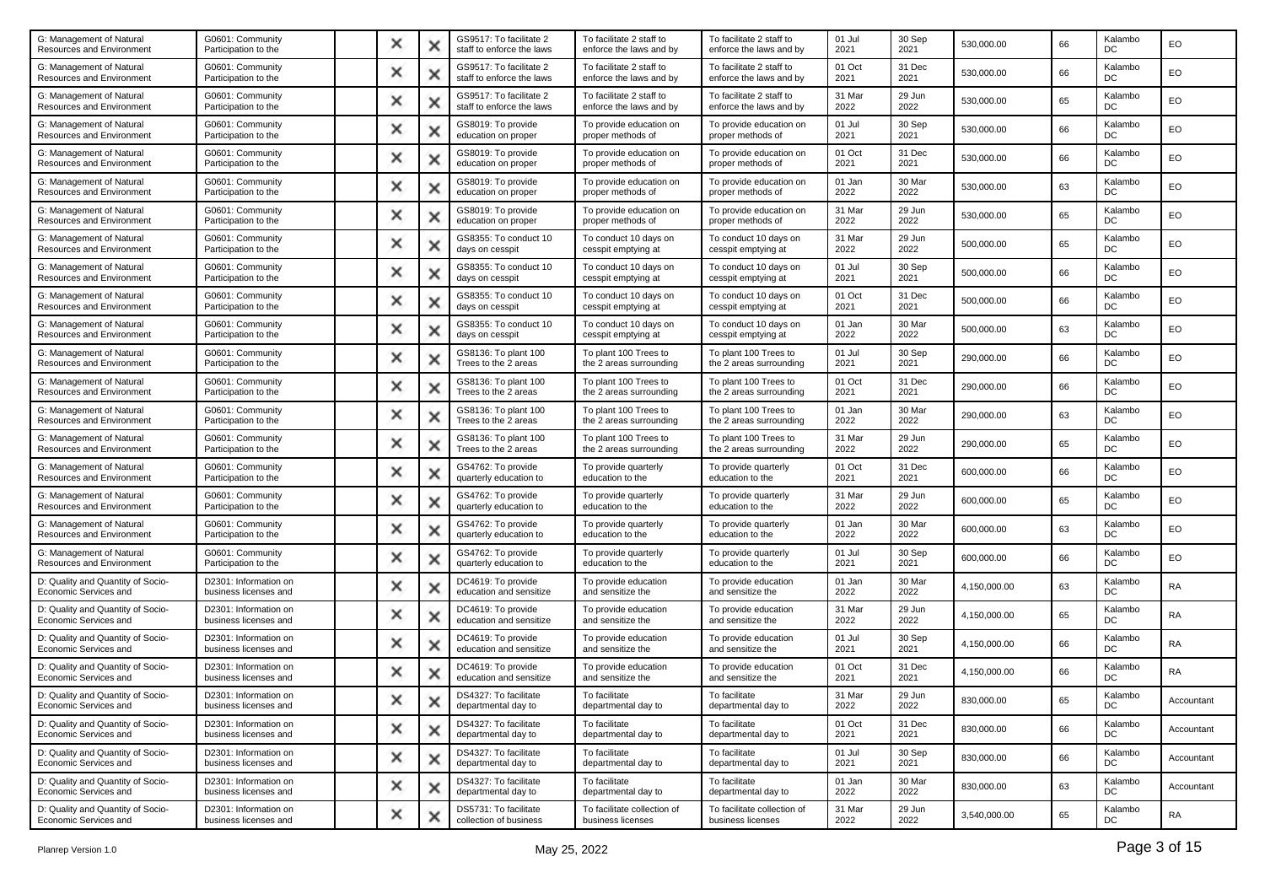| G: Management of Natural<br><b>Resources and Environment</b> | G0601: Community<br>Participation to the       | x        | × | GS9517: To facilitate 2<br>staff to enforce the laws | To facilitate 2 staff to<br>enforce the laws and by | To facilitate 2 staff to<br>enforce the laws and by | 01 Jul<br>2021 | 30 Sep<br>2021 | 530,000.00   | 66 | Kalambo<br>DC | EO         |
|--------------------------------------------------------------|------------------------------------------------|----------|---|------------------------------------------------------|-----------------------------------------------------|-----------------------------------------------------|----------------|----------------|--------------|----|---------------|------------|
| G: Management of Natural<br>Resources and Environment        | G0601: Community<br>Participation to the       | ×        | х | GS9517: To facilitate 2<br>staff to enforce the laws | To facilitate 2 staff to<br>enforce the laws and by | To facilitate 2 staff to<br>enforce the laws and by | 01 Oct<br>2021 | 31 Dec<br>2021 | 530,000.00   | 66 | Kalambo<br>DC | EO         |
| G: Management of Natural<br>Resources and Environment        | G0601: Community<br>Participation to the       | ×        | × | GS9517: To facilitate 2<br>staff to enforce the laws | To facilitate 2 staff to<br>enforce the laws and by | To facilitate 2 staff to<br>enforce the laws and by | 31 Mar<br>2022 | 29 Jun<br>2022 | 530,000.00   | 65 | Kalambo<br>DC | EO         |
| G: Management of Natural<br>Resources and Environment        | G0601: Community<br>Participation to the       | ×        | × | GS8019: To provide<br>education on proper            | To provide education on<br>proper methods of        | To provide education on<br>proper methods of        | 01 Jul<br>2021 | 30 Sep<br>2021 | 530,000.00   | 66 | Kalambo<br>DC | EO         |
| G: Management of Natural<br>Resources and Environment        | G0601: Community<br>Participation to the       | ×        | x | GS8019: To provide<br>education on proper            | To provide education on<br>proper methods of        | To provide education on<br>proper methods of        | 01 Oct<br>2021 | 31 Dec<br>2021 | 530,000.00   | 66 | Kalambo<br>DC | EO         |
| G: Management of Natural<br>Resources and Environment        | G0601: Community<br>Participation to the       | ×        | × | GS8019: To provide<br>education on proper            | To provide education on<br>proper methods of        | To provide education on<br>proper methods of        | 01 Jan<br>2022 | 30 Mar<br>2022 | 530,000.00   | 63 | Kalambo<br>DC | EO         |
| G: Management of Natural<br>Resources and Environment        | G0601: Community<br>Participation to the       | x        | × | GS8019: To provide<br>education on proper            | To provide education on<br>proper methods of        | To provide education on<br>proper methods of        | 31 Mar<br>2022 | 29 Jun<br>2022 | 530,000.00   | 65 | Kalambo<br>DC | EO         |
| G: Management of Natural<br>Resources and Environment        | G0601: Community<br>Participation to the       | ×        | х | GS8355: To conduct 10<br>days on cesspit             | To conduct 10 days on<br>cesspit emptying at        | To conduct 10 days on<br>cesspit emptying at        | 31 Mar<br>2022 | 29 Jun<br>2022 | 500,000.00   | 65 | Kalambo<br>DC | EO         |
| G: Management of Natural<br>Resources and Environment        | G0601: Community<br>Participation to the       | ×        | × | GS8355: To conduct 10<br>days on cesspit             | To conduct 10 days on<br>cesspit emptying at        | To conduct 10 days on<br>cesspit emptying at        | 01 Jul<br>2021 | 30 Sep<br>2021 | 500,000.00   | 66 | Kalambo<br>DC | EO         |
| G: Management of Natural<br>Resources and Environment        | G0601: Community<br>Participation to the       | $\times$ | × | GS8355: To conduct 10<br>days on cesspit             | To conduct 10 days on<br>cesspit emptying at        | To conduct 10 days on<br>cesspit emptying at        | 01 Oct<br>2021 | 31 Dec<br>2021 | 500,000.00   | 66 | Kalambo<br>DC | EO         |
| G: Management of Natural<br>Resources and Environment        | G0601: Community<br>Participation to the       | ×        | × | GS8355: To conduct 10<br>days on cesspit             | To conduct 10 days on<br>cesspit emptying at        | To conduct 10 days on<br>cesspit emptying at        | 01 Jan<br>2022 | 30 Mar<br>2022 | 500,000.00   | 63 | Kalambo<br>DC | EO         |
| G: Management of Natural<br>Resources and Environment        | G0601: Community<br>Participation to the       | ×        | х | GS8136: To plant 100<br>Trees to the 2 areas         | To plant 100 Trees to<br>the 2 areas surrounding    | To plant 100 Trees to<br>the 2 areas surrounding    | 01 Jul<br>2021 | 30 Sep<br>2021 | 290,000.00   | 66 | Kalambo<br>DC | EO         |
| G: Management of Natural<br>Resources and Environment        | G0601: Community<br>Participation to the       | x        | × | GS8136: To plant 100<br>Trees to the 2 areas         | To plant 100 Trees to<br>the 2 areas surrounding    | To plant 100 Trees to<br>the 2 areas surrounding    | 01 Oct<br>2021 | 31 Dec<br>2021 | 290,000.00   | 66 | Kalambo<br>DC | EO         |
| G: Management of Natural<br>Resources and Environment        | G0601: Community<br>Participation to the       | ×        | х | GS8136: To plant 100<br>Trees to the 2 areas         | To plant 100 Trees to<br>the 2 areas surrounding    | To plant 100 Trees to<br>the 2 areas surrounding    | 01 Jan<br>2022 | 30 Mar<br>2022 | 290,000.00   | 63 | Kalambo<br>DC | EO         |
| G: Management of Natural<br>Resources and Environment        | G0601: Community<br>Participation to the       | ×        | × | GS8136: To plant 100<br>Trees to the 2 areas         | To plant 100 Trees to<br>the 2 areas surrounding    | To plant 100 Trees to<br>the 2 areas surrounding    | 31 Mar<br>2022 | 29 Jun<br>2022 | 290,000.00   | 65 | Kalambo<br>DC | EO         |
| G: Management of Natural<br>Resources and Environment        | G0601: Community<br>Participation to the       | ×        | × | GS4762: To provide<br>quarterly education to         | To provide quarterly<br>education to the            | To provide quarterly<br>education to the            | 01 Oct<br>2021 | 31 Dec<br>2021 | 600,000.00   | 66 | Kalambo<br>DC | EO         |
| G: Management of Natural<br>Resources and Environment        | G0601: Community<br>Participation to the       | ×        | x | GS4762: To provide<br>quarterly education to         | To provide quarterly<br>education to the            | To provide quarterly<br>education to the            | 31 Mar<br>2022 | 29 Jun<br>2022 | 600,000.00   | 65 | Kalambo<br>DC | EO         |
| G: Management of Natural<br>Resources and Environment        | G0601: Community<br>Participation to the       | ×        | × | GS4762: To provide<br>quarterly education to         | To provide quarterly<br>education to the            | To provide quarterly<br>education to the            | 01 Jan<br>2022 | 30 Mar<br>2022 | 600,000.00   | 63 | Kalambo<br>DC | EO         |
| G: Management of Natural<br>Resources and Environment        | G0601: Community<br>Participation to the       | x        | × | GS4762: To provide<br>quarterly education to         | To provide quarterly<br>education to the            | To provide quarterly<br>education to the            | 01 Jul<br>2021 | 30 Sep<br>2021 | 600,000.00   | 66 | Kalambo<br>DC | EO         |
| D: Quality and Quantity of Socio-<br>Economic Services and   | D2301: Information on<br>business licenses and | ×        | х | DC4619: To provide<br>education and sensitize        | To provide education<br>and sensitize the           | To provide education<br>and sensitize the           | 01 Jan<br>2022 | 30 Mar<br>2022 | 4,150,000.00 | 63 | Kalambo<br>DC | <b>RA</b>  |
| D: Quality and Quantity of Socio-<br>Economic Services and   | D2301: Information on<br>business licenses and | ×        | × | DC4619: To provide<br>education and sensitize        | To provide education<br>and sensitize the           | To provide education<br>and sensitize the           | 31 Mar<br>2022 | 29 Jun<br>2022 | 4,150,000.00 | 65 | Kalambo<br>DC | <b>RA</b>  |
| D: Quality and Quantity of Socio-<br>Economic Services and   | D2301: Information on<br>business licenses and | $\times$ | × | DC4619: To provide<br>education and sensitize        | To provide education<br>and sensitize the           | To provide education<br>and sensitize the           | 01 Jul<br>2021 | 30 Sep<br>2021 | 4,150,000.00 | 66 | Kalambo<br>DC | <b>RA</b>  |
| D: Quality and Quantity of Socio-<br>Economic Services and   | D2301: Information on<br>business licenses and | ×        | х | DC4619: To provide<br>education and sensitize        | To provide education<br>and sensitize the           | To provide education<br>and sensitize the           | 01 Oct<br>2021 | 31 Dec<br>2021 | 4,150,000.00 | 66 | Kalambo<br>DC | <b>RA</b>  |
| D: Quality and Quantity of Socio-<br>Economic Services and   | D2301: Information on<br>business licenses and |          |   | DS4327: To facilitate<br>departmental day to         | To facilitate<br>departmental day to                | To facilitate<br>departmental day to                | 31 Mar<br>2022 | 29 Jun<br>2022 | 830,000.00   | 65 | Kalambo<br>DC | Accountant |
| D: Quality and Quantity of Socio-<br>Economic Services and   | D2301: Information on<br>business licenses and | ×        | x | DS4327: To facilitate<br>departmental day to         | To facilitate<br>departmental day to                | To facilitate<br>departmental day to                | 01 Oct<br>2021 | 31 Dec<br>2021 | 830,000.00   | 66 | Kalambo<br>DC | Accountant |
| D: Quality and Quantity of Socio-<br>Economic Services and   | D2301: Information on<br>business licenses and | ×        | x | DS4327: To facilitate<br>departmental day to         | To facilitate<br>departmental day to                | To facilitate<br>departmental day to                | 01 Jul<br>2021 | 30 Sep<br>2021 | 830,000.00   | 66 | Kalambo<br>DC | Accountant |
| D: Quality and Quantity of Socio-<br>Economic Services and   | D2301: Information on<br>business licenses and | ×        | × | DS4327: To facilitate<br>departmental day to         | To facilitate<br>departmental day to                | To facilitate<br>departmental day to                | 01 Jan<br>2022 | 30 Mar<br>2022 | 830,000.00   | 63 | Kalambo<br>DC | Accountant |
| D: Quality and Quantity of Socio-<br>Economic Services and   | D2301: Information on<br>business licenses and | ×        | × | DS5731: To facilitate<br>collection of business      | To facilitate collection of<br>business licenses    | To facilitate collection of<br>business licenses    | 31 Mar<br>2022 | 29 Jun<br>2022 | 3,540,000.00 | 65 | Kalambo<br>DC | RA         |
|                                                              |                                                |          |   |                                                      |                                                     |                                                     |                |                |              |    |               |            |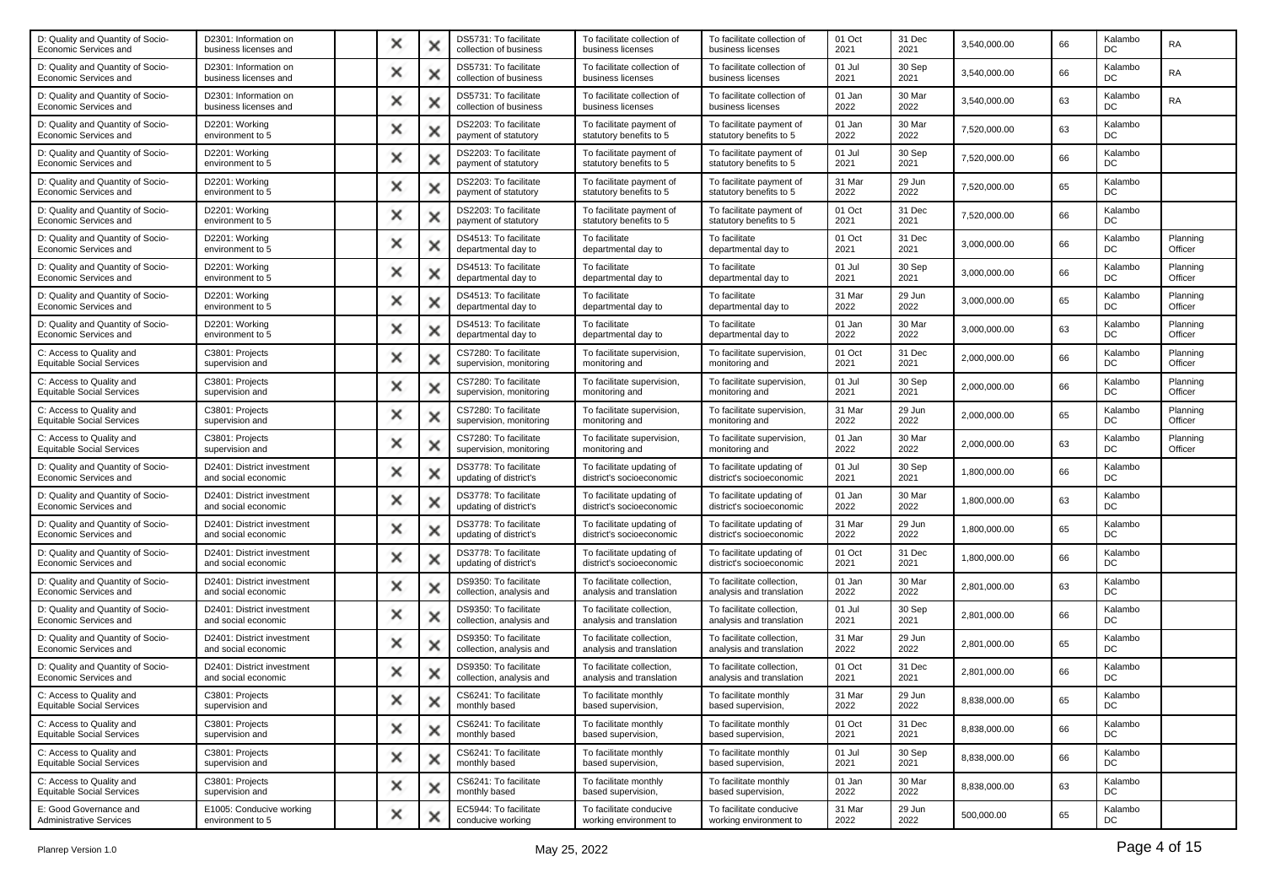| D: Quality and Quantity of Socio-<br>Economic Services and   | D2301: Information on<br>business licenses and    | × |   | DS5731: To facilitate<br>collection of business   | To facilitate collection of<br>business licenses      | To facilitate collection of<br>business licenses      | 01 Oct<br>2021 | 31 Dec<br>2021 | 3,540,000.00 | 66 | Kalambo<br>DC | <b>RA</b>           |
|--------------------------------------------------------------|---------------------------------------------------|---|---|---------------------------------------------------|-------------------------------------------------------|-------------------------------------------------------|----------------|----------------|--------------|----|---------------|---------------------|
| D: Quality and Quantity of Socio-<br>Economic Services and   | D2301: Information on<br>business licenses and    | × |   | DS5731: To facilitate<br>collection of business   | To facilitate collection of<br>business licenses      | To facilitate collection of<br>business licenses      | 01 Jul<br>2021 | 30 Sep<br>2021 | 3,540,000.00 | 66 | Kalambo<br>DC | RA                  |
| D: Quality and Quantity of Socio-<br>Economic Services and   | D2301: Information on<br>business licenses and    | × |   | DS5731: To facilitate<br>collection of business   | To facilitate collection of<br>business licenses      | To facilitate collection of<br>business licenses      | 01 Jan<br>2022 | 30 Mar<br>2022 | 3,540,000.00 | 63 | Kalambo<br>DC | RA                  |
| D: Quality and Quantity of Socio-<br>Economic Services and   | D2201: Working<br>environment to 5                | × |   | DS2203: To facilitate<br>payment of statutory     | To facilitate payment of<br>statutory benefits to 5   | To facilitate payment of<br>statutory benefits to 5   | 01 Jan<br>2022 | 30 Mar<br>2022 | 7,520,000.00 | 63 | Kalambo<br>DC |                     |
| D: Quality and Quantity of Socio-<br>Economic Services and   | D2201: Working<br>environment to 5                | × |   | DS2203: To facilitate<br>payment of statutory     | To facilitate payment of<br>statutory benefits to 5   | To facilitate payment of<br>statutory benefits to 5   | 01 Jul<br>2021 | 30 Sep<br>2021 | 7,520,000.00 | 66 | Kalambo<br>DC |                     |
| D: Quality and Quantity of Socio-<br>Economic Services and   | D2201: Working<br>environment to 5                | × |   | DS2203: To facilitate<br>payment of statutory     | To facilitate payment of<br>statutory benefits to 5   | To facilitate payment of<br>statutory benefits to 5   | 31 Mar<br>2022 | 29 Jun<br>2022 | 7,520,000.00 | 65 | Kalambo<br>DC |                     |
| D: Quality and Quantity of Socio-<br>Economic Services and   | D2201: Working<br>environment to 5                | × |   | DS2203: To facilitate<br>payment of statutory     | To facilitate payment of<br>statutory benefits to 5   | To facilitate payment of<br>statutory benefits to 5   | 01 Oct<br>2021 | 31 Dec<br>2021 | 7,520,000.00 | 66 | Kalambo<br>DC |                     |
| D: Quality and Quantity of Socio-<br>Economic Services and   | D2201: Working<br>environment to 5                | × |   | DS4513: To facilitate<br>departmental day to      | To facilitate<br>departmental day to                  | To facilitate<br>departmental day to                  | 01 Oct<br>2021 | 31 Dec<br>2021 | 3,000,000.00 | 66 | Kalambo<br>DC | Planning<br>Officer |
| D: Quality and Quantity of Socio-<br>Economic Services and   | D2201: Working<br>environment to 5                | × |   | DS4513: To facilitate<br>departmental day to      | To facilitate<br>departmental day to                  | To facilitate<br>departmental day to                  | 01 Jul<br>2021 | 30 Sep<br>2021 | 3,000,000.00 | 66 | Kalambo<br>DC | Planning<br>Officer |
| D: Quality and Quantity of Socio-<br>Economic Services and   | D2201: Working<br>environment to 5                | × |   | DS4513: To facilitate<br>departmental day to      | To facilitate<br>departmental day to                  | To facilitate<br>departmental day to                  | 31 Mar<br>2022 | 29 Jun<br>2022 | 3,000,000.00 | 65 | Kalambo<br>DC | Planning<br>Officer |
| D: Quality and Quantity of Socio-<br>Economic Services and   | D2201: Working<br>environment to 5                | × |   | DS4513: To facilitate<br>departmental day to      | To facilitate<br>departmental day to                  | To facilitate<br>departmental day to                  | 01 Jan<br>2022 | 30 Mar<br>2022 | 3,000,000.00 | 63 | Kalambo<br>DC | Planning<br>Officer |
| C: Access to Quality and<br><b>Equitable Social Services</b> | C3801: Projects<br>supervision and                | × | x | CS7280: To facilitate<br>supervision, monitoring  | To facilitate supervision,<br>monitoring and          | To facilitate supervision,<br>monitoring and          | 01 Oct<br>2021 | 31 Dec<br>2021 | 2,000,000.00 | 66 | Kalambo<br>DC | Planning<br>Officer |
| C: Access to Quality and<br><b>Equitable Social Services</b> | C3801: Projects<br>supervision and                | × |   | CS7280: To facilitate<br>supervision, monitoring  | To facilitate supervision,<br>monitoring and          | To facilitate supervision,<br>monitoring and          | 01 Jul<br>2021 | 30 Sep<br>2021 | 2,000,000.00 | 66 | Kalambo<br>DC | Planning<br>Officer |
| C: Access to Quality and<br><b>Equitable Social Services</b> | C3801: Projects<br>supervision and                | × |   | CS7280: To facilitate<br>supervision, monitoring  | To facilitate supervision,<br>monitoring and          | To facilitate supervision,<br>monitoring and          | 31 Mar<br>2022 | 29 Jun<br>2022 | 2,000,000.00 | 65 | Kalambo<br>DC | Planning<br>Officer |
| C: Access to Quality and<br><b>Equitable Social Services</b> | C3801: Projects<br>supervision and                | × |   | CS7280: To facilitate<br>supervision, monitoring  | To facilitate supervision,<br>monitoring and          | To facilitate supervision,<br>monitoring and          | 01 Jan<br>2022 | 30 Mar<br>2022 | 2,000,000.00 | 63 | Kalambo<br>DC | Planning<br>Officer |
| D: Quality and Quantity of Socio-<br>Economic Services and   | D2401: District investment<br>and social economic | × |   | DS3778: To facilitate<br>updating of district's   | To facilitate updating of<br>district's socioeconomic | To facilitate updating of<br>district's socioeconomic | 01 Jul<br>2021 | 30 Sep<br>2021 | 1,800,000.00 | 66 | Kalambo<br>DC |                     |
| D: Quality and Quantity of Socio-<br>Economic Services and   | D2401: District investment<br>and social economic | × |   | DS3778: To facilitate<br>updating of district's   | To facilitate updating of<br>district's socioeconomic | To facilitate updating of<br>district's socioeconomic | 01 Jan<br>2022 | 30 Mar<br>2022 | 1,800,000.00 | 63 | Kalambo<br>DC |                     |
| D: Quality and Quantity of Socio-<br>Economic Services and   | D2401: District investment<br>and social economic | × |   | DS3778: To facilitate<br>updating of district's   | To facilitate updating of<br>district's socioeconomic | To facilitate updating of<br>district's socioeconomic | 31 Mar<br>2022 | 29 Jun<br>2022 | 1,800,000.00 | 65 | Kalambo<br>DC |                     |
| D: Quality and Quantity of Socio-<br>Economic Services and   | D2401: District investment<br>and social economic | × |   | DS3778: To facilitate<br>updating of district's   | To facilitate updating of<br>district's socioeconomic | To facilitate updating of<br>district's socioeconomic | 01 Oct<br>2021 | 31 Dec<br>2021 | 1,800,000.00 | 66 | Kalambo<br>DC |                     |
| D: Quality and Quantity of Socio-<br>Economic Services and   | D2401: District investment<br>and social economic | × |   | DS9350: To facilitate<br>collection, analysis and | To facilitate collection,<br>analysis and translation | To facilitate collection,<br>analysis and translation | 01 Jan<br>2022 | 30 Mar<br>2022 | 2,801,000.00 | 63 | Kalambo<br>DC |                     |
| D: Quality and Quantity of Socio-<br>Economic Services and   | D2401: District investment<br>and social economic | × |   | DS9350: To facilitate<br>collection, analysis and | To facilitate collection,<br>analysis and translation | To facilitate collection,<br>analysis and translation | 01 Jul<br>2021 | 30 Sep<br>2021 | 2,801,000.00 | 66 | Kalambo<br>DC |                     |
| D: Quality and Quantity of Socio-<br>Economic Services and   | D2401: District investment<br>and social economic | × |   | DS9350: To facilitate<br>collection, analysis and | To facilitate collection,<br>analysis and translation | To facilitate collection,<br>analysis and translation | 31 Mar<br>2022 | 29 Jun<br>2022 | 2,801,000.00 | 65 | Kalambo<br>DC |                     |
| D: Quality and Quantity of Socio-<br>Economic Services and   | D2401: District investment<br>and social economic | × |   | DS9350: To facilitate<br>collection, analysis and | To facilitate collection,<br>analysis and translation | To facilitate collection,<br>analysis and translation | 01 Oct<br>2021 | 31 Dec<br>2021 | 2.801.000.00 | 66 | Kalambo<br>DC |                     |
| C: Access to Quality and<br><b>Equitable Social Services</b> | C3801: Projects<br>supervision and                |   |   | CS6241: To facilitate<br>monthly based            | To facilitate monthly<br>based supervision,           | To facilitate monthly<br>based supervision,           | 31 Mar<br>2022 | 29 Jun<br>2022 | 8,838,000.00 | 65 | Kalambo<br>DC |                     |
| C: Access to Quality and<br><b>Equitable Social Services</b> | C3801: Projects<br>supervision and                | × | × | CS6241: To facilitate<br>monthly based            | To facilitate monthly<br>based supervision,           | To facilitate monthly<br>based supervision,           | 01 Oct<br>2021 | 31 Dec<br>2021 | 8.838.000.00 | 66 | Kalambo<br>DC |                     |
| C: Access to Quality and<br><b>Equitable Social Services</b> | C3801: Projects<br>supervision and                | × | × | CS6241: To facilitate<br>monthly based            | To facilitate monthly<br>based supervision,           | To facilitate monthly<br>based supervision,           | 01 Jul<br>2021 | 30 Sep<br>2021 | 8,838,000.00 | 66 | Kalambo<br>DC |                     |
| C: Access to Quality and<br><b>Equitable Social Services</b> | C3801: Projects<br>supervision and                | × | × | CS6241: To facilitate<br>monthly based            | To facilitate monthly<br>based supervision,           | To facilitate monthly<br>based supervision,           | 01 Jan<br>2022 | 30 Mar<br>2022 | 8,838,000.00 | 63 | Kalambo<br>DC |                     |
| E: Good Governance and<br><b>Administrative Services</b>     | E1005: Conducive working<br>environment to 5      | × |   | EC5944: To facilitate<br>conducive working        | To facilitate conducive<br>working environment to     | To facilitate conducive<br>working environment to     | 31 Mar<br>2022 | 29 Jun<br>2022 | 500,000.00   | 65 | Kalambo<br>DC |                     |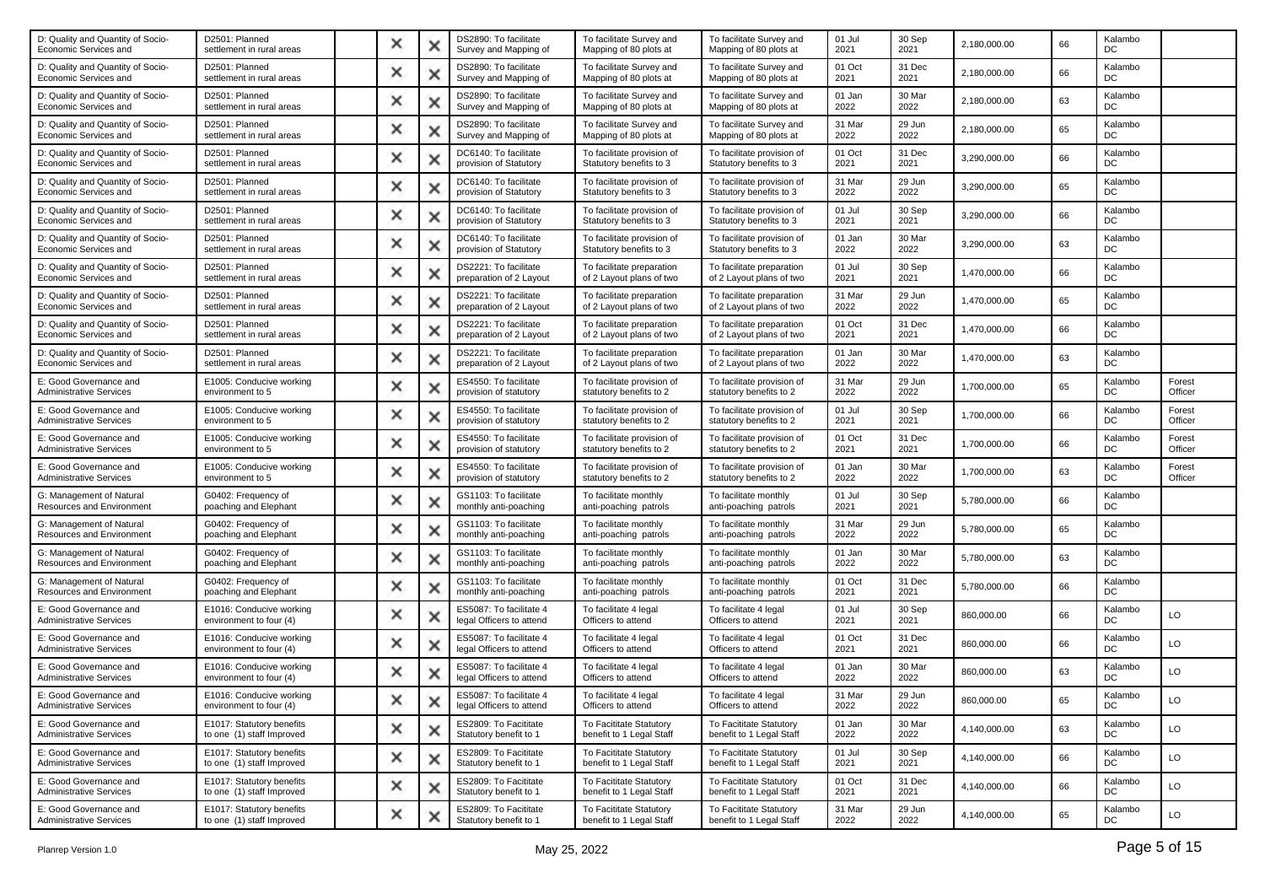| D2501: Planned<br>settlement in rural areas            | × | DS2890: To facilitate<br>Survey and Mapping of                                                                                                                     | To facilitate Survey and<br>Mapping of 80 plots at    | To facilitate Survey and<br>Mapping of 80 plots at    | 01 Jul<br>2021 | 30 Sep<br>2021 | 2,180,000.00 | 66 | Kalambo<br>DC  |                   |
|--------------------------------------------------------|---|--------------------------------------------------------------------------------------------------------------------------------------------------------------------|-------------------------------------------------------|-------------------------------------------------------|----------------|----------------|--------------|----|----------------|-------------------|
| D2501: Planned<br>settlement in rural areas            | × | DS2890: To facilitate<br>Survey and Mapping of                                                                                                                     | To facilitate Survey and<br>Mapping of 80 plots at    | To facilitate Survey and<br>Mapping of 80 plots at    | 01 Oct<br>2021 | 31 Dec<br>2021 | 2,180,000.00 | 66 | Kalambo<br>DC  |                   |
| D2501: Planned<br>settlement in rural areas            | × | DS2890: To facilitate<br>Survey and Mapping of                                                                                                                     | To facilitate Survey and<br>Mapping of 80 plots at    | To facilitate Survey and<br>Mapping of 80 plots at    | 01 Jan<br>2022 | 30 Mar<br>2022 | 2,180,000.00 | 63 | Kalambo<br>DC  |                   |
| D2501: Planned<br>settlement in rural areas            | × | DS2890: To facilitate<br>Survey and Mapping of                                                                                                                     | To facilitate Survey and<br>Mapping of 80 plots at    | To facilitate Survey and<br>Mapping of 80 plots at    | 31 Mar<br>2022 | 29 Jun<br>2022 | 2,180,000.00 | 65 | Kalambo<br>DC  |                   |
| D2501: Planned<br>settlement in rural areas            | х | DC6140: To facilitate<br>provision of Statutory                                                                                                                    | To facilitate provision of<br>Statutory benefits to 3 | To facilitate provision of<br>Statutory benefits to 3 | 01 Oct<br>2021 | 31 Dec<br>2021 | 3,290,000.00 | 66 | Kalambo<br>DC  |                   |
| D2501: Planned<br>settlement in rural areas            | × | DC6140: To facilitate<br>provision of Statutory                                                                                                                    | To facilitate provision of<br>Statutory benefits to 3 | To facilitate provision of<br>Statutory benefits to 3 | 31 Mar<br>2022 | 29 Jun<br>2022 | 3,290,000.00 | 65 | Kalambo<br>DC  |                   |
| D2501: Planned<br>settlement in rural areas            | × | DC6140: To facilitate<br>provision of Statutory                                                                                                                    | To facilitate provision of<br>Statutory benefits to 3 | To facilitate provision of<br>Statutory benefits to 3 | 01 Jul<br>2021 | 30 Sep<br>2021 | 3,290,000.00 | 66 | Kalambo<br>DC  |                   |
| D2501: Planned<br>settlement in rural areas            | х | DC6140: To facilitate<br>provision of Statutory                                                                                                                    | To facilitate provision of<br>Statutory benefits to 3 | To facilitate provision of<br>Statutory benefits to 3 | 01 Jan<br>2022 | 30 Mar<br>2022 | 3,290,000.00 | 63 | Kalambo<br>DC  |                   |
| D2501: Planned<br>settlement in rural areas            | × | DS2221: To facilitate<br>preparation of 2 Layout                                                                                                                   | To facilitate preparation<br>of 2 Layout plans of two | To facilitate preparation<br>of 2 Layout plans of two | 01 Jul<br>2021 | 30 Sep<br>2021 | 1,470,000.00 | 66 | Kalambo<br>DC  |                   |
| D2501: Planned<br>settlement in rural areas            | × | DS2221: To facilitate<br>preparation of 2 Layout                                                                                                                   | To facilitate preparation<br>of 2 Layout plans of two | To facilitate preparation<br>of 2 Layout plans of two | 31 Mar<br>2022 | 29 Jun<br>2022 | 1,470,000.00 | 65 | Kalambo<br>DC  |                   |
| D2501: Planned<br>settlement in rural areas            | × | DS2221: To facilitate<br>preparation of 2 Layout                                                                                                                   | To facilitate preparation<br>of 2 Layout plans of two | To facilitate preparation<br>of 2 Layout plans of two | 01 Oct<br>2021 | 31 Dec<br>2021 | 1,470,000.00 | 66 | Kalambo<br>DC  |                   |
| D2501: Planned<br>settlement in rural areas            | × | DS2221: To facilitate<br>preparation of 2 Layout                                                                                                                   | To facilitate preparation<br>of 2 Layout plans of two | To facilitate preparation<br>of 2 Layout plans of two | 01 Jan<br>2022 | 30 Mar<br>2022 | 1,470,000.00 | 63 | Kalambo<br>DC  |                   |
| E1005: Conducive working<br>environment to 5           | × | ES4550: To facilitate<br>provision of statutory                                                                                                                    | To facilitate provision of<br>statutory benefits to 2 | To facilitate provision of<br>statutory benefits to 2 | 31 Mar<br>2022 | 29 Jun<br>2022 | 1,700,000.00 | 65 | Kalambo<br>DC  | Forest<br>Officer |
| E1005: Conducive working<br>environment to 5           | х | ES4550: To facilitate<br>provision of statutory                                                                                                                    | To facilitate provision of<br>statutory benefits to 2 | To facilitate provision of<br>statutory benefits to 2 | 01 Jul<br>2021 | 30 Sep<br>2021 | 1,700,000.00 | 66 | Kalambo<br>DC  | Forest<br>Officer |
| E1005: Conducive working<br>environment to 5           | × | ES4550: To facilitate<br>provision of statutory                                                                                                                    | To facilitate provision of<br>statutory benefits to 2 | To facilitate provision of<br>statutory benefits to 2 | 01 Oct<br>2021 | 31 Dec<br>2021 | 1,700,000.00 | 66 | Kalambo<br>DC  | Forest<br>Officer |
| E1005: Conducive working<br>environment to 5           | × | ES4550: To facilitate<br>provision of statutory                                                                                                                    | To facilitate provision of<br>statutory benefits to 2 | To facilitate provision of<br>statutory benefits to 2 | 01 Jan<br>2022 | 30 Mar<br>2022 | 1,700,000.00 | 63 | Kalambo<br>DC  | Forest<br>Officer |
| G0402: Frequency of<br>poaching and Elephant           | х | GS1103: To facilitate<br>monthly anti-poaching                                                                                                                     | To facilitate monthly<br>anti-poaching patrols        | To facilitate monthly<br>anti-poaching patrols        | 01 Jul<br>2021 | 30 Sep<br>2021 | 5,780,000.00 | 66 | Kalambo<br>DC  |                   |
| G0402: Frequency of<br>poaching and Elephant           | x | GS1103: To facilitate<br>monthly anti-poaching                                                                                                                     | To facilitate monthly<br>anti-poaching patrols        | To facilitate monthly<br>anti-poaching patrols        | 31 Mar<br>2022 | 29 Jun<br>2022 | 5,780,000.00 | 65 | Kalambo<br>DC  |                   |
| G0402: Frequency of<br>poaching and Elephant           | × | GS1103: To facilitate<br>monthly anti-poaching                                                                                                                     | To facilitate monthly<br>anti-poaching patrols        | To facilitate monthly<br>anti-poaching patrols        | 01 Jan<br>2022 | 30 Mar<br>2022 | 5,780,000.00 | 63 | Kalambo<br>DC  |                   |
| G0402: Frequency of<br>poaching and Elephant           | × | GS1103: To facilitate<br>monthly anti-poaching                                                                                                                     | To facilitate monthly<br>anti-poaching patrols        | To facilitate monthly<br>anti-poaching patrols        | 01 Oct<br>2021 | 31 Dec<br>2021 | 5,780,000.00 | 66 | Kalambo<br>DC  |                   |
| E1016: Conducive working<br>environment to four (4)    | × | ES5087: To facilitate 4<br>legal Officers to attend                                                                                                                | To facilitate 4 legal<br>Officers to attend           | To facilitate 4 legal<br>Officers to attend           | 01 Jul<br>2021 | 30 Sep<br>2021 | 860,000.00   | 66 | Kalambo<br>DC  | LO                |
| E1016: Conducive working<br>environment to four (4)    | × | ES5087: To facilitate 4<br>legal Officers to attend                                                                                                                | To facilitate 4 legal<br>Officers to attend           | To facilitate 4 legal<br>Officers to attend           | 01 Oct<br>2021 | 31 Dec<br>2021 | 860,000.00   | 66 | Kalambo<br>DC  | LO                |
| E1016: Conducive working<br>environment to four (4)    | х | ES5087: To facilitate 4<br>legal Officers to attend                                                                                                                | To facilitate 4 legal<br>Officers to attend           | To facilitate 4 legal<br>Officers to attend           | 01 Jan<br>2022 | 30 Mar<br>2022 | 860,000.00   | 63 | Kalambo<br>DC  | LO                |
| E1016: Conducive working<br>environment to four (4)    |   | ES5087: To facilitate 4<br>legal Officers to attend                                                                                                                | To facilitate 4 legal<br>Officers to attend           | To facilitate 4 legal<br>Officers to attend           | 31 Mar<br>2022 | 29 Jun<br>2022 | 860,000.00   | 65 | Kalambo<br>DC. | $\Omega$          |
| E1017: Statutory benefits<br>to one (1) staff Improved |   | ES2809: To Facititate<br>Statutory benefit to 1                                                                                                                    | To Facititate Statutory<br>benefit to 1 Legal Staff   | To Facititate Statutory<br>benefit to 1 Legal Staff   | 01 Jan<br>2022 | 30 Mar<br>2022 | 4,140,000.00 | 63 | Kalambo<br>DC  | LO                |
| E1017: Statutory benefits<br>to one (1) staff improved |   | ES2809: To Facititate<br>Statutory benefit to 1                                                                                                                    | To Facititate Statutory<br>benefit to 1 Legal Staff   | To Facititate Statutory<br>benefit to 1 Legal Staff   | 01 Jul<br>2021 | 30 Sep<br>2021 | 4,140,000.00 | 66 | Kalambo<br>DC  | LO                |
| E1017: Statutory benefits<br>to one (1) staff improved |   | ES2809: To Facititate<br>Statutory benefit to 1                                                                                                                    | To Facititate Statutory<br>benefit to 1 Legal Staff   | To Facititate Statutory<br>benefit to 1 Legal Staff   | 01 Oct<br>2021 | 31 Dec<br>2021 | 4,140,000.00 | 66 | Kalambo<br>DC  | LO                |
| E1017: Statutory benefits<br>to one (1) staff Improved |   | ES2809: To Facititate<br>Statutory benefit to 1                                                                                                                    | To Facititate Statutory<br>benefit to 1 Legal Staff   | To Facititate Statutory<br>benefit to 1 Legal Staff   | 31 Mar<br>2022 | 29 Jun<br>2022 | 4,140,000.00 | 65 | Kalambo<br>DC  | LO                |
|                                                        |   | x<br>×<br>×<br>×<br>×<br>×<br>x<br>×<br>×<br>$\times$<br>×<br>×<br>x<br>×<br>×<br>$\times$<br>×<br>×<br>x<br>×<br>×<br>$\times$<br>×<br>×<br>×<br>x<br>×<br>×<br>× | x<br>x                                                |                                                       |                |                |              |    |                |                   |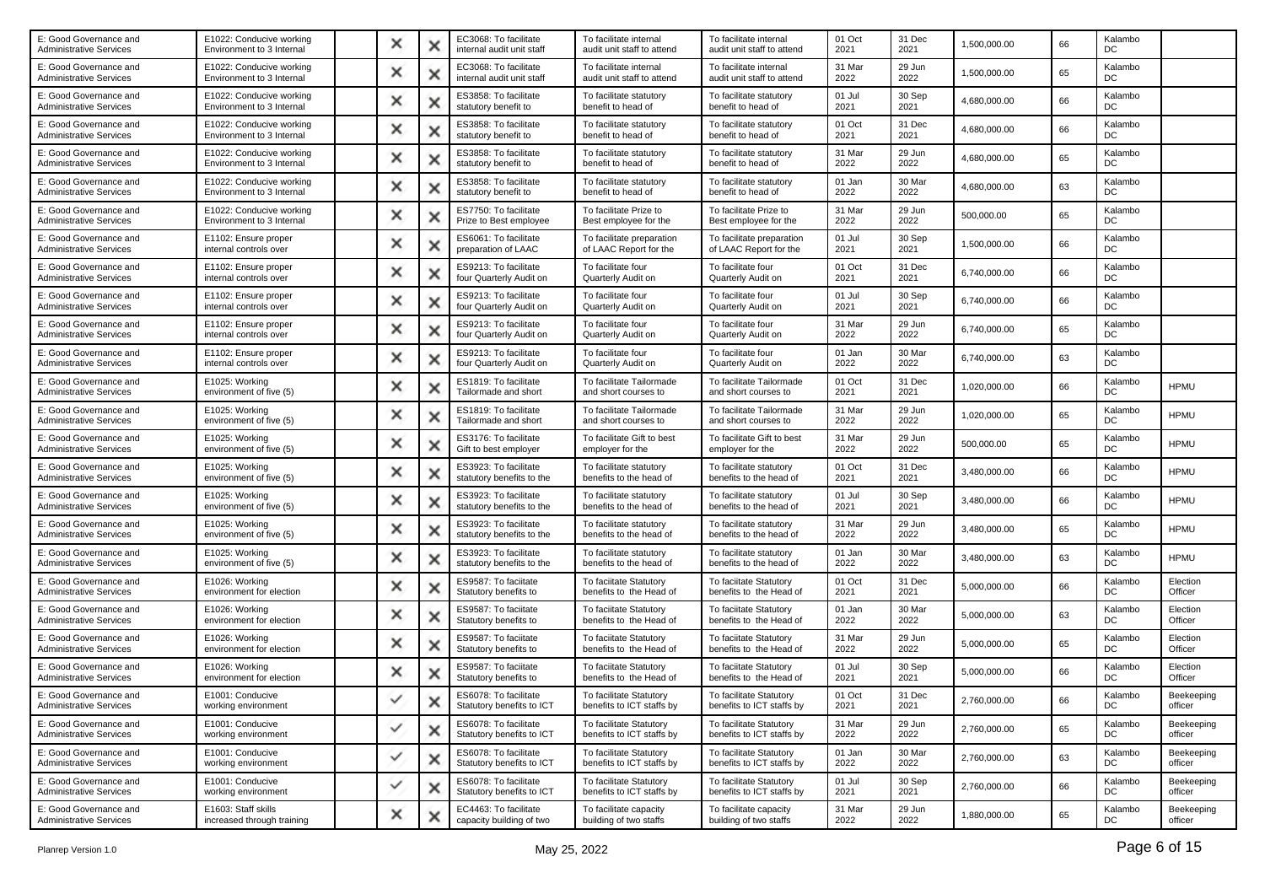| E: Good Governance and<br><b>Administrative Services</b> | E1022: Conducive working<br>Environment to 3 Internal | ×            |   | EC3068: To facilitate<br>internal audit unit staff | To facilitate internal<br>audit unit staff to attend | To facilitate internal<br>audit unit staff to attend | 01 Oct<br>2021 | 31 Dec<br>2021 | 1,500,000.00 | 66 | Kalambo<br>DC |                       |
|----------------------------------------------------------|-------------------------------------------------------|--------------|---|----------------------------------------------------|------------------------------------------------------|------------------------------------------------------|----------------|----------------|--------------|----|---------------|-----------------------|
| E: Good Governance and<br><b>Administrative Services</b> | E1022: Conducive working<br>Environment to 3 Internal | ×            |   | EC3068: To facilitate<br>internal audit unit staff | To facilitate internal<br>audit unit staff to attend | To facilitate internal<br>audit unit staff to attend | 31 Mar<br>2022 | 29 Jun<br>2022 | 1,500,000.00 | 65 | Kalambo<br>DC |                       |
| E: Good Governance and<br><b>Administrative Services</b> | E1022: Conducive working<br>Environment to 3 Internal | ×            |   | ES3858: To facilitate<br>statutory benefit to      | To facilitate statutory<br>benefit to head of        | To facilitate statutory<br>benefit to head of        | 01 Jul<br>2021 | 30 Sep<br>2021 | 4,680,000.00 | 66 | Kalambo<br>DC |                       |
| E: Good Governance and<br><b>Administrative Services</b> | E1022: Conducive working<br>Environment to 3 Internal | ×            |   | ES3858: To facilitate<br>statutory benefit to      | To facilitate statutory<br>benefit to head of        | To facilitate statutory<br>benefit to head of        | 01 Oct<br>2021 | 31 Dec<br>2021 | 4,680,000.00 | 66 | Kalambo<br>DC |                       |
| E: Good Governance and<br><b>Administrative Services</b> | E1022: Conducive working<br>Environment to 3 Internal | ×            | Ж | ES3858: To facilitate<br>statutory benefit to      | To facilitate statutory<br>benefit to head of        | To facilitate statutory<br>benefit to head of        | 31 Mar<br>2022 | 29 Jun<br>2022 | 4,680,000.00 | 65 | Kalambo<br>DC |                       |
| E: Good Governance and<br><b>Administrative Services</b> | E1022: Conducive working<br>Environment to 3 Internal | ×            | × | ES3858: To facilitate<br>statutory benefit to      | To facilitate statutory<br>benefit to head of        | To facilitate statutory<br>benefit to head of        | 01 Jan<br>2022 | 30 Mar<br>2022 | 4,680,000.00 | 63 | Kalambo<br>DC |                       |
| E: Good Governance and<br>Administrative Services        | E1022: Conducive working<br>Environment to 3 Internal | ×            | х | ES7750: To facilitate<br>Prize to Best employee    | To facilitate Prize to<br>Best employee for the      | To facilitate Prize to<br>Best employee for the      | 31 Mar<br>2022 | 29 Jun<br>2022 | 500,000.00   | 65 | Kalambo<br>DC |                       |
| E: Good Governance and<br><b>Administrative Services</b> | E1102: Ensure proper<br>internal controls over        | ×            |   | ES6061: To facilitate<br>preparation of LAAC       | To facilitate preparation<br>of LAAC Report for the  | To facilitate preparation<br>of LAAC Report for the  | 01 Jul<br>2021 | 30 Sep<br>2021 | 1,500,000.00 | 66 | Kalambo<br>DC |                       |
| E: Good Governance and<br><b>Administrative Services</b> | E1102: Ensure proper<br>internal controls over        | ×            |   | ES9213: To facilitate<br>four Quarterly Audit on   | To facilitate four<br>Quarterly Audit on             | To facilitate four<br>Quarterly Audit on             | 01 Oct<br>2021 | 31 Dec<br>2021 | 6,740,000.00 | 66 | Kalambo<br>DC |                       |
| E: Good Governance and<br><b>Administrative Services</b> | E1102: Ensure proper<br>internal controls over        | ×            |   | ES9213: To facilitate<br>four Quarterly Audit on   | To facilitate four<br>Quarterly Audit on             | To facilitate four<br>Quarterly Audit on             | 01 Jul<br>2021 | 30 Sep<br>2021 | 6,740,000.00 | 66 | Kalambo<br>DC |                       |
| E: Good Governance and<br><b>Administrative Services</b> | E1102: Ensure proper<br>internal controls over        | ×            |   | ES9213: To facilitate<br>four Quarterly Audit on   | To facilitate four<br>Quarterly Audit on             | To facilitate four<br>Quarterly Audit on             | 31 Mar<br>2022 | 29 Jun<br>2022 | 6,740,000.00 | 65 | Kalambo<br>DC |                       |
| E: Good Governance and<br><b>Administrative Services</b> | E1102: Ensure proper<br>internal controls over        | ×            |   | ES9213: To facilitate<br>four Quarterly Audit on   | To facilitate four<br>Quarterly Audit on             | To facilitate four<br>Quarterly Audit on             | 01 Jan<br>2022 | 30 Mar<br>2022 | 6,740,000.00 | 63 | Kalambo<br>DC |                       |
| E: Good Governance and<br><b>Administrative Services</b> | E1025: Working<br>environment of five (5)             | ×            |   | ES1819: To facilitate<br>Tailormade and short      | To facilitate Tailormade<br>and short courses to     | To facilitate Tailormade<br>and short courses to     | 01 Oct<br>2021 | 31 Dec<br>2021 | 1,020,000.00 | 66 | Kalambo<br>DC | <b>HPMU</b>           |
| E: Good Governance and<br>Administrative Services        | E1025: Working<br>environment of five (5)             | ×            |   | ES1819: To facilitate<br>Tailormade and short      | To facilitate Tailormade<br>and short courses to     | To facilitate Tailormade<br>and short courses to     | 31 Mar<br>2022 | 29 Jun<br>2022 | 1,020,000.00 | 65 | Kalambo<br>DC | <b>HPMU</b>           |
| E: Good Governance and<br><b>Administrative Services</b> | E1025: Working<br>environment of five (5)             | ×            |   | ES3176: To facilitate<br>Gift to best employer     | To facilitate Gift to best<br>employer for the       | To facilitate Gift to best<br>employer for the       | 31 Mar<br>2022 | 29 Jun<br>2022 | 500,000.00   | 65 | Kalambo<br>DC | <b>HPMU</b>           |
| E: Good Governance and<br><b>Administrative Services</b> | E1025: Working<br>environment of five (5)             | ×            |   | ES3923: To facilitate<br>statutory benefits to the | To facilitate statutory<br>benefits to the head of   | To facilitate statutory<br>benefits to the head of   | 01 Oct<br>2021 | 31 Dec<br>2021 | 3,480,000.00 | 66 | Kalambo<br>DC | <b>HPMU</b>           |
| E: Good Governance and<br>Administrative Services        | E1025: Working<br>environment of five (5)             | ×            | × | ES3923: To facilitate<br>statutory benefits to the | To facilitate statutory<br>benefits to the head of   | To facilitate statutory<br>benefits to the head of   | 01 Jul<br>2021 | 30 Sep<br>2021 | 3,480,000.00 | 66 | Kalambo<br>DC | <b>HPMU</b>           |
| E: Good Governance and<br>Administrative Services        | E1025: Working<br>environment of five (5)             | ×            |   | ES3923: To facilitate<br>statutory benefits to the | To facilitate statutory<br>benefits to the head of   | To facilitate statutory<br>benefits to the head of   | 31 Mar<br>2022 | 29 Jun<br>2022 | 3,480,000.00 | 65 | Kalambo<br>DC | <b>HPMU</b>           |
| E: Good Governance and<br><b>Administrative Services</b> | E1025: Working<br>environment of five (5)             | ×            | х | ES3923: To facilitate<br>statutory benefits to the | To facilitate statutory<br>benefits to the head of   | To facilitate statutory<br>benefits to the head of   | 01 Jan<br>2022 | 30 Mar<br>2022 | 3,480,000.00 | 63 | Kalambo<br>DC | <b>HPMU</b>           |
| E: Good Governance and<br><b>Administrative Services</b> | E1026: Working<br>environment for election            | ×            |   | ES9587: To faciitate<br>Statutory benefits to      | To faciitate Statutory<br>benefits to the Head of    | To faciitate Statutory<br>benefits to the Head of    | 01 Oct<br>2021 | 31 Dec<br>2021 | 5,000,000.00 | 66 | Kalambo<br>DC | Election<br>Officer   |
| E: Good Governance and<br><b>Administrative Services</b> | E1026: Working<br>environment for election            | ×            |   | ES9587: To faciitate<br>Statutory benefits to      | To faciitate Statutory<br>benefits to the Head of    | To faciitate Statutory<br>benefits to the Head of    | 01 Jan<br>2022 | 30 Mar<br>2022 | 5,000,000.00 | 63 | Kalambo<br>DC | Election<br>Officer   |
| E: Good Governance and<br><b>Administrative Services</b> | E1026: Working<br>environment for election            | ×            | × | ES9587: To faciitate<br>Statutory benefits to      | To faciitate Statutory<br>benefits to the Head of    | To faciitate Statutory<br>benefits to the Head of    | 31 Mar<br>2022 | 29 Jun<br>2022 | 5,000,000.00 | 65 | Kalambo<br>DC | Election<br>Officer   |
| E: Good Governance and<br><b>Administrative Services</b> | E1026: Working<br>environment for election            | ×            |   | ES9587: To faciitate<br>Statutory benefits to      | To faciitate Statutory<br>benefits to the Head of    | To faciitate Statutory<br>benefits to the Head of    | 01 Jul<br>2021 | 30 Sep<br>2021 | 5,000,000.00 | 66 | Kalambo<br>DC | Election<br>Officer   |
| E: Good Governance and<br><b>Administrative Services</b> | E1001: Conducive<br>working environment               |              |   | ES6078: To facilitate<br>Statutory benefits to ICT | To facilitate Statutory<br>benefits to ICT staffs by | To facilitate Statutory<br>benefits to ICT staffs by | 01 Oct<br>2021 | 31 Dec<br>2021 | 2,760,000.00 | 66 | Kalambo<br>DC | Beekeeping<br>officer |
| E: Good Governance and<br><b>Administrative Services</b> | E1001: Conducive<br>working environment               | $\checkmark$ | × | ES6078: To facilitate<br>Statutory benefits to ICT | To facilitate Statutory<br>benefits to ICT staffs by | To facilitate Statutory<br>benefits to ICT staffs by | 31 Mar<br>2022 | 29 Jun<br>2022 | 2,760,000.00 | 65 | Kalambo<br>DC | Beekeeping<br>officer |
| E: Good Governance and<br><b>Administrative Services</b> | E1001: Conducive<br>working environment               | ✓            | × | ES6078: To facilitate<br>Statutory benefits to ICT | To facilitate Statutory<br>benefits to ICT staffs by | To facilitate Statutory<br>benefits to ICT staffs by | 01 Jan<br>2022 | 30 Mar<br>2022 | 2,760,000.00 | 63 | Kalambo<br>DC | Beekeeping<br>officer |
| E: Good Governance and<br><b>Administrative Services</b> | E1001: Conducive<br>working environment               | $\checkmark$ | × | ES6078: To facilitate<br>Statutory benefits to ICT | To facilitate Statutory<br>benefits to ICT staffs by | To facilitate Statutory<br>benefits to ICT staffs by | 01 Jul<br>2021 | 30 Sep<br>2021 | 2,760,000.00 | 66 | Kalambo<br>DC | Beekeeping<br>officer |
| E: Good Governance and<br><b>Administrative Services</b> | E1603: Staff skills<br>increased through training     | ×            |   | EC4463: To facilitate<br>capacity building of two  | To facilitate capacity<br>building of two staffs     | To facilitate capacity<br>building of two staffs     | 31 Mar<br>2022 | 29 Jun<br>2022 | 1,880,000.00 | 65 | Kalambo<br>DC | Beekeeping<br>officer |
|                                                          |                                                       |              |   |                                                    |                                                      |                                                      |                |                |              |    |               |                       |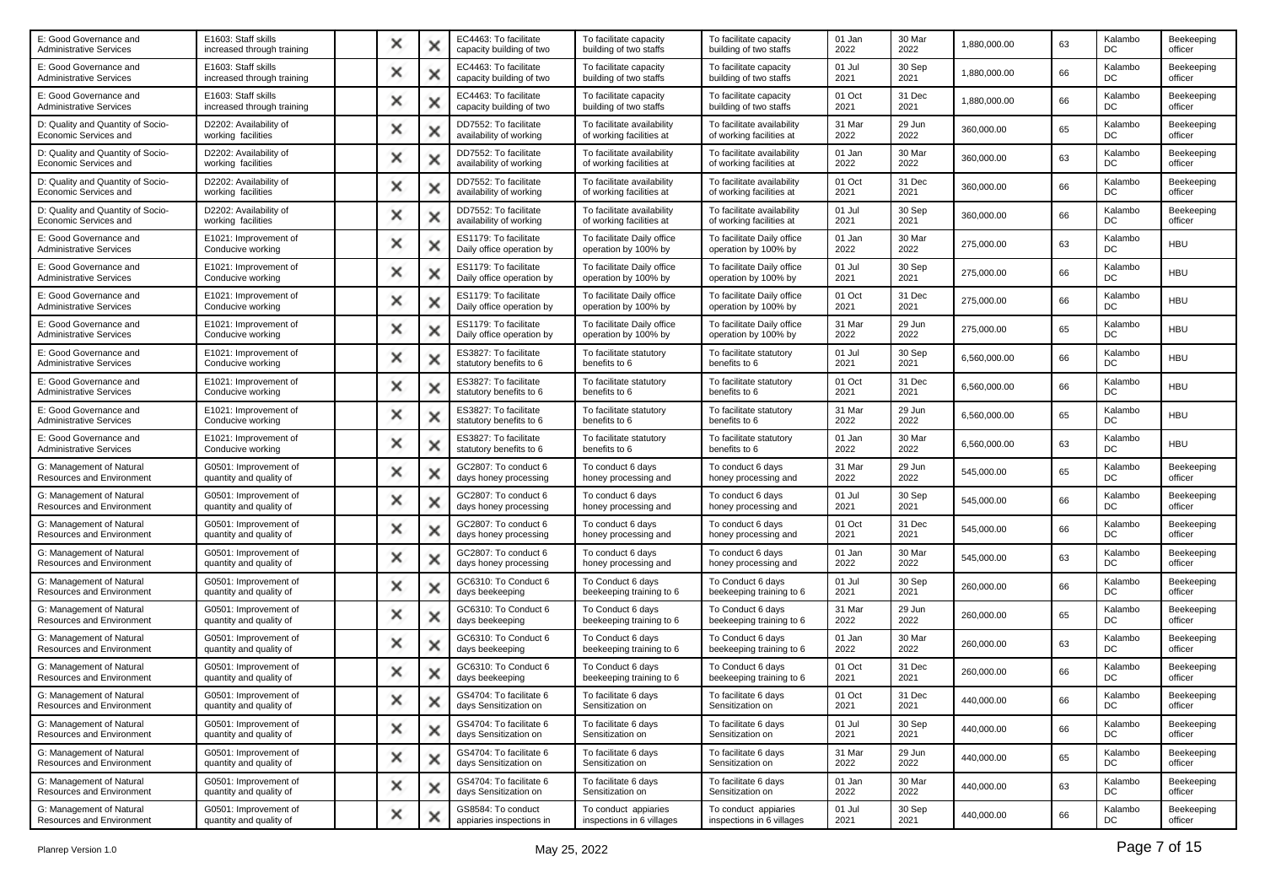| E: Good Governance and<br><b>Administrative Services</b>     | E1603: Staff skills<br>increased through training | × |   | EC4463: To facilitate<br>capacity building of two  | To facilitate capacity<br>building of two staffs       | To facilitate capacity<br>building of two staffs       | 01 Jan<br>2022 | 30 Mar<br>2022 | 1,880,000.00 | 63 | Kalambo<br>DC | Beekeeping<br>officer |
|--------------------------------------------------------------|---------------------------------------------------|---|---|----------------------------------------------------|--------------------------------------------------------|--------------------------------------------------------|----------------|----------------|--------------|----|---------------|-----------------------|
| E: Good Governance and<br>Administrative Services            | E1603: Staff skills<br>increased through training | × | х | EC4463: To facilitate<br>capacity building of two  | To facilitate capacity<br>building of two staffs       | To facilitate capacity<br>building of two staffs       | 01 Jul<br>2021 | 30 Sep<br>2021 | 1,880,000.00 | 66 | Kalambo<br>DC | Beekeeping<br>officer |
| E: Good Governance and<br><b>Administrative Services</b>     | E1603: Staff skills<br>increased through training | × | × | EC4463: To facilitate<br>capacity building of two  | To facilitate capacity<br>building of two staffs       | To facilitate capacity<br>building of two staffs       | 01 Oct<br>2021 | 31 Dec<br>2021 | 1,880,000.00 | 66 | Kalambo<br>DC | Beekeeping<br>officer |
| D: Quality and Quantity of Socio-<br>Economic Services and   | D2202: Availability of<br>working facilities      | × |   | DD7552: To facilitate<br>availability of working   | To facilitate availability<br>of working facilities at | To facilitate availability<br>of working facilities at | 31 Mar<br>2022 | 29 Jun<br>2022 | 360,000.00   | 65 | Kalambo<br>DC | Beekeeping<br>officer |
| D: Quality and Quantity of Socio-<br>Economic Services and   | D2202: Availability of<br>working facilities      | × | х | DD7552: To facilitate<br>availability of working   | To facilitate availability<br>of working facilities at | To facilitate availability<br>of working facilities at | 01 Jan<br>2022 | 30 Mar<br>2022 | 360,000.00   | 63 | Kalambo<br>DC | Beekeeping<br>officer |
| D: Quality and Quantity of Socio-<br>Economic Services and   | D2202: Availability of<br>working facilities      | × | х | DD7552: To facilitate<br>availability of working   | To facilitate availability<br>of working facilities at | To facilitate availability<br>of working facilities at | 01 Oct<br>2021 | 31 Dec<br>2021 | 360,000.00   | 66 | Kalambo<br>DC | Beekeeping<br>officer |
| D: Quality and Quantity of Socio-<br>Economic Services and   | D2202: Availability of<br>working facilities      | x |   | DD7552: To facilitate<br>availability of working   | To facilitate availability<br>of working facilities at | To facilitate availability<br>of working facilities at | 01 Jul<br>2021 | 30 Sep<br>2021 | 360,000.00   | 66 | Kalambo<br>DC | Beekeeping<br>officer |
| E: Good Governance and<br><b>Administrative Services</b>     | E1021: Improvement of<br>Conducive working        | × | х | ES1179: To facilitate<br>Daily office operation by | To facilitate Daily office<br>operation by 100% by     | To facilitate Daily office<br>operation by 100% by     | 01 Jan<br>2022 | 30 Mar<br>2022 | 275,000.00   | 63 | Kalambo<br>DC | <b>HBU</b>            |
| E: Good Governance and<br><b>Administrative Services</b>     | E1021: Improvement of<br>Conducive working        | × |   | ES1179: To facilitate<br>Daily office operation by | To facilitate Daily office<br>operation by 100% by     | To facilitate Daily office<br>operation by 100% by     | 01 Jul<br>2021 | 30 Sep<br>2021 | 275,000.00   | 66 | Kalambo<br>DC | <b>HBU</b>            |
| E: Good Governance and<br><b>Administrative Services</b>     | E1021: Improvement of<br>Conducive working        | × |   | ES1179: To facilitate<br>Daily office operation by | To facilitate Daily office<br>operation by 100% by     | To facilitate Daily office<br>operation by 100% by     | 01 Oct<br>2021 | 31 Dec<br>2021 | 275,000.00   | 66 | Kalambo<br>DC | <b>HBU</b>            |
| E: Good Governance and<br><b>Administrative Services</b>     | E1021: Improvement of<br>Conducive working        | × | х | ES1179: To facilitate<br>Daily office operation by | To facilitate Daily office<br>operation by 100% by     | To facilitate Daily office<br>operation by 100% by     | 31 Mar<br>2022 | 29 Jun<br>2022 | 275,000.00   | 65 | Kalambo<br>DC | <b>HBU</b>            |
| E: Good Governance and<br><b>Administrative Services</b>     | E1021: Improvement of<br>Conducive working        | × | х | ES3827: To facilitate<br>statutory benefits to 6   | To facilitate statutory<br>benefits to 6               | To facilitate statutory<br>benefits to 6               | 01 Jul<br>2021 | 30 Sep<br>2021 | 6,560,000.00 | 66 | Kalambo<br>DC | <b>HBU</b>            |
| E: Good Governance and<br>Administrative Services            | E1021: Improvement of<br>Conducive working        | x |   | ES3827: To facilitate<br>statutory benefits to 6   | To facilitate statutory<br>benefits to 6               | To facilitate statutory<br>benefits to 6               | 01 Oct<br>2021 | 31 Dec<br>2021 | 6,560,000.00 | 66 | Kalambo<br>DC | <b>HBU</b>            |
| E: Good Governance and<br><b>Administrative Services</b>     | E1021: Improvement of<br>Conducive working        | × | х | ES3827: To facilitate<br>statutory benefits to 6   | To facilitate statutory<br>benefits to 6               | To facilitate statutory<br>benefits to 6               | 31 Mar<br>2022 | 29 Jun<br>2022 | 6,560,000.00 | 65 | Kalambo<br>DC | <b>HBU</b>            |
| E: Good Governance and<br><b>Administrative Services</b>     | E1021: Improvement of<br>Conducive working        | × | x | ES3827: To facilitate<br>statutory benefits to 6   | To facilitate statutory<br>benefits to 6               | To facilitate statutory<br>benefits to 6               | 01 Jan<br>2022 | 30 Mar<br>2022 | 6,560,000.00 | 63 | Kalambo<br>DC | <b>HBU</b>            |
| G: Management of Natural<br>Resources and Environment        | G0501: Improvement of<br>quantity and quality of  | × |   | GC2807: To conduct 6<br>days honey processing      | To conduct 6 days<br>honey processing and              | To conduct 6 days<br>honey processing and              | 31 Mar<br>2022 | 29 Jun<br>2022 | 545,000.00   | 65 | Kalambo<br>DC | Beekeeping<br>officer |
| G: Management of Natural<br>Resources and Environment        | G0501: Improvement of<br>quantity and quality of  | × | х | GC2807: To conduct 6<br>days honey processing      | To conduct 6 days<br>honey processing and              | To conduct 6 days<br>honey processing and              | 01 Jul<br>2021 | 30 Sep<br>2021 | 545,000.00   | 66 | Kalambo<br>DC | Beekeeping<br>officer |
| G: Management of Natural<br>Resources and Environment        | G0501: Improvement of<br>quantity and quality of  | × | х | GC2807: To conduct 6<br>days honey processing      | To conduct 6 days<br>honey processing and              | To conduct 6 days<br>honey processing and              | 01 Oct<br>2021 | 31 Dec<br>2021 | 545,000.00   | 66 | Kalambo<br>DC | Beekeeping<br>officer |
| G: Management of Natural<br>Resources and Environment        | G0501: Improvement of<br>quantity and quality of  | x | x | GC2807: To conduct 6<br>days honey processing      | To conduct 6 days<br>honey processing and              | To conduct 6 days<br>honey processing and              | 01 Jan<br>2022 | 30 Mar<br>2022 | 545,000.00   | 63 | Kalambo<br>DC | Beekeeping<br>officer |
| G: Management of Natural<br>Resources and Environment        | G0501: Improvement of<br>quantity and quality of  | × | х | GC6310: To Conduct 6<br>days beekeeping            | To Conduct 6 days<br>beekeeping training to 6          | To Conduct 6 days<br>beekeeping training to 6          | 01 Jul<br>2021 | 30 Sep<br>2021 | 260,000.00   | 66 | Kalambo<br>DC | Beekeeping<br>officer |
| G: Management of Natural<br><b>Resources and Environment</b> | G0501: Improvement of<br>quantity and quality of  | × |   | GC6310: To Conduct 6<br>days beekeeping            | To Conduct 6 days<br>beekeeping training to 6          | To Conduct 6 days<br>beekeeping training to 6          | 31 Mar<br>2022 | 29 Jun<br>2022 | 260,000.00   | 65 | Kalambo<br>DC | Beekeeping<br>officer |
| G: Management of Natural<br>Resources and Environment        | G0501: Improvement of<br>quantity and quality of  | × |   | GC6310: To Conduct 6<br>days beekeeping            | To Conduct 6 days<br>beekeeping training to 6          | To Conduct 6 days<br>beekeeping training to 6          | 01 Jan<br>2022 | 30 Mar<br>2022 | 260,000.00   | 63 | Kalambo<br>DC | Beekeeping<br>officer |
| G: Management of Natural<br>Resources and Environment        | G0501: Improvement of<br>quantity and quality of  | × | х | GC6310: To Conduct 6<br>days beekeeping            | To Conduct 6 days<br>beekeeping training to 6          | To Conduct 6 days<br>beekeeping training to 6          | 01 Oct<br>2021 | 31 Dec<br>2021 | 260,000.00   | 66 | Kalambo<br>DC | Beekeeping<br>officer |
| G: Management of Natural<br>Resources and Environment        | G0501: Improvement of<br>quantity and quality of  |   |   | GS4704: To facilitate 6<br>days Sensitization on   | To facilitate 6 days<br>Sensitization on               | To facilitate 6 days<br>Sensitization on               | 01 Oct<br>2021 | 31 Dec<br>2021 | 440,000.00   | 66 | Kalambo<br>DC | Beekeeping<br>officer |
| G: Management of Natural<br>Resources and Environment        | G0501: Improvement of<br>quantity and quality of  | × | × | GS4704: To facilitate 6<br>days Sensitization on   | To facilitate 6 days<br>Sensitization on               | To facilitate 6 days<br>Sensitization on               | 01 Jul<br>2021 | 30 Sep<br>2021 | 440,000.00   | 66 | Kalambo<br>DC | Beekeeping<br>officer |
| G: Management of Natural<br>Resources and Environment        | G0501: Improvement of<br>quantity and quality of  | × | x | GS4704: To facilitate 6<br>days Sensitization on   | To facilitate 6 days<br>Sensitization on               | To facilitate 6 days<br>Sensitization on               | 31 Mar<br>2022 | 29 Jun<br>2022 | 440,000.00   | 65 | Kalambo<br>DC | Beekeeping<br>officer |
| G: Management of Natural<br>Resources and Environment        | G0501: Improvement of<br>quantity and quality of  | × | × | GS4704: To facilitate 6<br>days Sensitization on   | To facilitate 6 days<br>Sensitization on               | To facilitate 6 days<br>Sensitization on               | 01 Jan<br>2022 | 30 Mar<br>2022 | 440,000.00   | 63 | Kalambo<br>DC | Beekeeping<br>officer |
| G: Management of Natural<br>Resources and Environment        | G0501: Improvement of<br>quantity and quality of  | × | × | GS8584: To conduct<br>appiaries inspections in     | To conduct appiaries<br>inspections in 6 villages      | To conduct appiaries<br>inspections in 6 villages      | 01 Jul<br>2021 | 30 Sep<br>2021 | 440,000.00   | 66 | Kalambo<br>DC | Beekeeping<br>officer |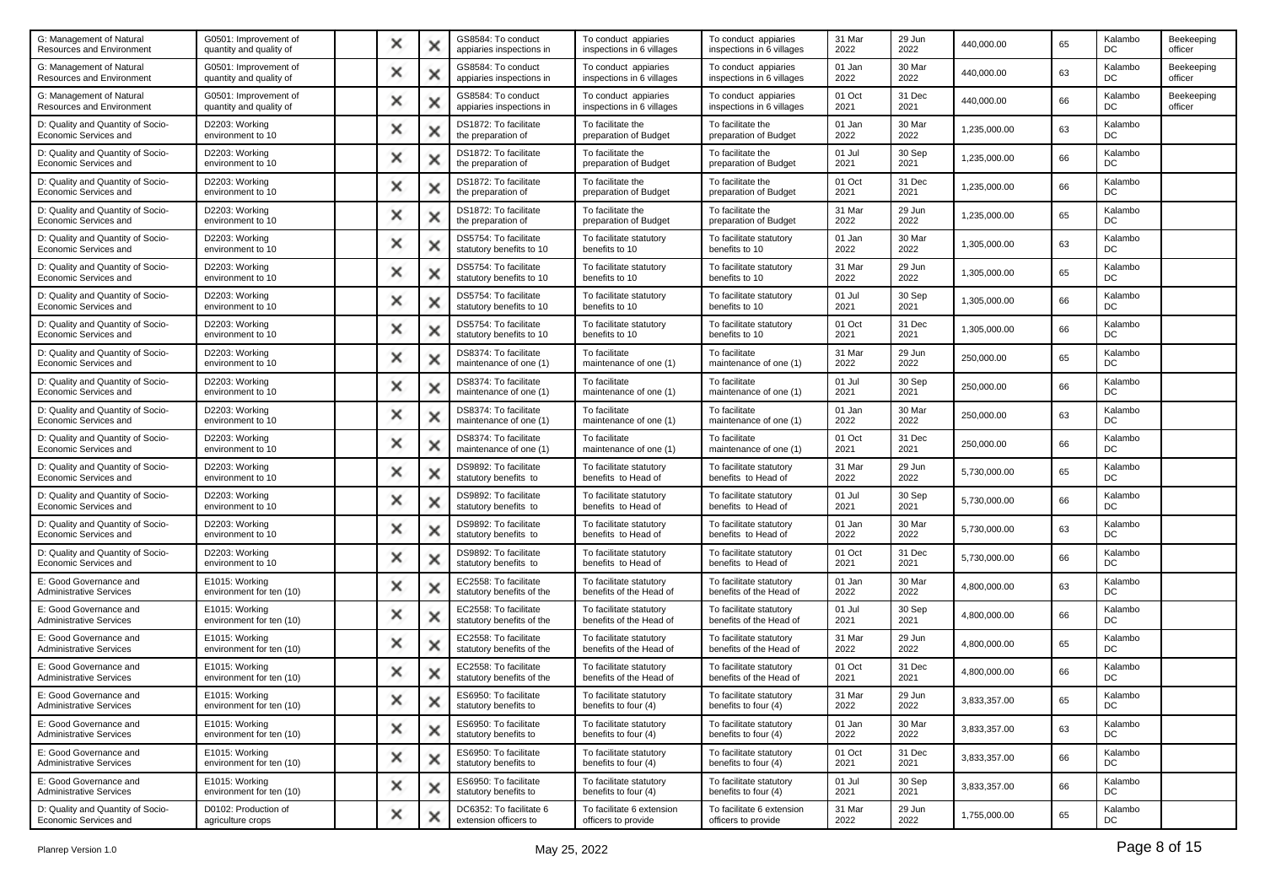| G: Management of Natural<br>Resources and Environment      | G0501: Improvement of<br>quantity and quality of | × | x | GS8584: To conduct<br>appiaries inspections in     | To conduct appiaries<br>inspections in 6 villages  | To conduct appiaries<br>inspections in 6 villages  | 31 Mar<br>2022 | 29 Jun<br>2022 | 440,000.00   | 65 | Kalambo<br>DC | Beekeeping<br>officer |
|------------------------------------------------------------|--------------------------------------------------|---|---|----------------------------------------------------|----------------------------------------------------|----------------------------------------------------|----------------|----------------|--------------|----|---------------|-----------------------|
| G: Management of Natural<br>Resources and Environment      | G0501: Improvement of<br>quantity and quality of | × | х | GS8584: To conduct<br>appiaries inspections in     | To conduct appiaries<br>inspections in 6 villages  | To conduct appiaries<br>inspections in 6 villages  | 01 Jan<br>2022 | 30 Mar<br>2022 | 440,000.00   | 63 | Kalambo<br>DC | Beekeeping<br>officer |
| G: Management of Natural<br>Resources and Environment      | G0501: Improvement of<br>quantity and quality of | × | × | GS8584: To conduct<br>appiaries inspections in     | To conduct appiaries<br>inspections in 6 villages  | To conduct appiaries<br>inspections in 6 villages  | 01 Oct<br>2021 | 31 Dec<br>2021 | 440,000.00   | 66 | Kalambo<br>DC | Beekeeping<br>officer |
| D: Quality and Quantity of Socio-<br>Economic Services and | D2203: Working<br>environment to 10              | × |   | DS1872: To facilitate<br>the preparation of        | To facilitate the<br>preparation of Budget         | To facilitate the<br>preparation of Budget         | 01 Jan<br>2022 | 30 Mar<br>2022 | 1,235,000.00 | 63 | Kalambo<br>DC |                       |
| D: Quality and Quantity of Socio-<br>Economic Services and | D2203: Working<br>environment to 10              | × | × | DS1872: To facilitate<br>the preparation of        | To facilitate the<br>preparation of Budget         | To facilitate the<br>preparation of Budget         | 01 Jul<br>2021 | 30 Sep<br>2021 | 1,235,000.00 | 66 | Kalambo<br>DC |                       |
| D: Quality and Quantity of Socio-<br>Economic Services and | D2203: Working<br>environment to 10              | × | x | DS1872: To facilitate<br>the preparation of        | To facilitate the<br>preparation of Budget         | To facilitate the<br>preparation of Budget         | 01 Oct<br>2021 | 31 Dec<br>2021 | 1,235,000.00 | 66 | Kalambo<br>DC |                       |
| D: Quality and Quantity of Socio-<br>Economic Services and | D2203: Working<br>environment to 10              | × | x | DS1872: To facilitate<br>the preparation of        | To facilitate the<br>preparation of Budget         | To facilitate the<br>preparation of Budget         | 31 Mar<br>2022 | 29 Jun<br>2022 | 1,235,000.00 | 65 | Kalambo<br>DC |                       |
| D: Quality and Quantity of Socio-<br>Economic Services and | D2203: Working<br>environment to 10              | × | х | DS5754: To facilitate<br>statutory benefits to 10  | To facilitate statutory<br>benefits to 10          | To facilitate statutory<br>benefits to 10          | 01 Jan<br>2022 | 30 Mar<br>2022 | 1,305,000.00 | 63 | Kalambo<br>DC |                       |
| D: Quality and Quantity of Socio-<br>Economic Services and | D2203: Working<br>environment to 10              | × | × | DS5754: To facilitate<br>statutory benefits to 10  | To facilitate statutory<br>benefits to 10          | To facilitate statutory<br>benefits to 10          | 31 Mar<br>2022 | 29 Jun<br>2022 | 1,305,000.00 | 65 | Kalambo<br>DC |                       |
| D: Quality and Quantity of Socio-<br>Economic Services and | D2203: Working<br>environment to 10              | × |   | DS5754: To facilitate<br>statutory benefits to 10  | To facilitate statutory<br>benefits to 10          | To facilitate statutory<br>benefits to 10          | 01 Jul<br>2021 | 30 Sep<br>2021 | 1,305,000.00 | 66 | Kalambo<br>DC |                       |
| D: Quality and Quantity of Socio-<br>Economic Services and | D2203: Working<br>environment to 10              | × | x | DS5754: To facilitate<br>statutory benefits to 10  | To facilitate statutory<br>benefits to 10          | To facilitate statutory<br>benefits to 10          | 01 Oct<br>2021 | 31 Dec<br>2021 | 1,305,000.00 | 66 | Kalambo<br>DC |                       |
| D: Quality and Quantity of Socio-<br>Economic Services and | D2203: Working<br>environment to 10              | × | x | DS8374: To facilitate<br>maintenance of one (1)    | To facilitate<br>maintenance of one (1)            | To facilitate<br>maintenance of one (1)            | 31 Mar<br>2022 | 29 Jun<br>2022 | 250,000.00   | 65 | Kalambo<br>DC |                       |
| D: Quality and Quantity of Socio-<br>Economic Services and | D2203: Working<br>environment to 10              | × | × | DS8374: To facilitate<br>maintenance of one (1)    | To facilitate<br>maintenance of one (1)            | To facilitate<br>maintenance of one (1)            | 01 Jul<br>2021 | 30 Sep<br>2021 | 250,000.00   | 66 | Kalambo<br>DC |                       |
| D: Quality and Quantity of Socio-<br>Economic Services and | D2203: Working<br>environment to 10              | × | х | DS8374: To facilitate<br>maintenance of one (1)    | To facilitate<br>maintenance of one (1)            | To facilitate<br>maintenance of one (1)            | 01 Jan<br>2022 | 30 Mar<br>2022 | 250,000.00   | 63 | Kalambo<br>DC |                       |
| D: Quality and Quantity of Socio-<br>Economic Services and | D2203: Working<br>environment to 10              | × | x | DS8374: To facilitate<br>maintenance of one (1)    | To facilitate<br>maintenance of one (1)            | To facilitate<br>maintenance of one (1)            | 01 Oct<br>2021 | 31 Dec<br>2021 | 250,000.00   | 66 | Kalambo<br>DC |                       |
| D: Quality and Quantity of Socio-<br>Economic Services and | D2203: Working<br>environment to 10              | × |   | DS9892: To facilitate<br>statutory benefits to     | To facilitate statutory<br>benefits to Head of     | To facilitate statutory<br>benefits to Head of     | 31 Mar<br>2022 | 29 Jun<br>2022 | 5,730,000.00 | 65 | Kalambo<br>DC |                       |
| D: Quality and Quantity of Socio-<br>Economic Services and | D2203: Working<br>environment to 10              | × | x | DS9892: To facilitate<br>statutory benefits to     | To facilitate statutory<br>benefits to Head of     | To facilitate statutory<br>benefits to Head of     | 01 Jul<br>2021 | 30 Sep<br>2021 | 5,730,000.00 | 66 | Kalambo<br>DC |                       |
| D: Quality and Quantity of Socio-<br>Economic Services and | D2203: Working<br>environment to 10              | × | x | DS9892: To facilitate<br>statutory benefits to     | To facilitate statutory<br>benefits to Head of     | To facilitate statutory<br>benefits to Head of     | 01 Jan<br>2022 | 30 Mar<br>2022 | 5,730,000.00 | 63 | Kalambo<br>DC |                       |
| D: Quality and Quantity of Socio-<br>Economic Services and | D2203: Working<br>environment to 10              | × | × | DS9892: To facilitate<br>statutory benefits to     | To facilitate statutory<br>benefits to Head of     | To facilitate statutory<br>benefits to Head of     | 01 Oct<br>2021 | 31 Dec<br>2021 | 5,730,000.00 | 66 | Kalambo<br>DC |                       |
| E: Good Governance and<br><b>Administrative Services</b>   | E1015: Working<br>environment for ten (10)       | × | х | EC2558: To facilitate<br>statutory benefits of the | To facilitate statutory<br>benefits of the Head of | To facilitate statutory<br>benefits of the Head of | 01 Jan<br>2022 | 30 Mar<br>2022 | 4,800,000.00 | 63 | Kalambo<br>DC |                       |
| E: Good Governance and<br><b>Administrative Services</b>   | E1015: Working<br>environment for ten (10)       | × | × | EC2558: To facilitate<br>statutory benefits of the | To facilitate statutory<br>benefits of the Head of | To facilitate statutory<br>benefits of the Head of | 01 Jul<br>2021 | 30 Sep<br>2021 | 4,800,000.00 | 66 | Kalambo<br>DC |                       |
| E: Good Governance and<br><b>Administrative Services</b>   | E1015: Working<br>environment for ten (10)       | × |   | EC2558: To facilitate<br>statutory benefits of the | To facilitate statutory<br>benefits of the Head of | To facilitate statutory<br>benefits of the Head of | 31 Mar<br>2022 | 29 Jun<br>2022 | 4,800,000.00 | 65 | Kalambo<br>DC |                       |
| E: Good Governance and<br><b>Administrative Services</b>   | E1015: Working<br>environment for ten (10)       | × | х | EC2558: To facilitate<br>statutory benefits of the | To facilitate statutory<br>benefits of the Head of | To facilitate statutory<br>benefits of the Head of | 01 Oct<br>2021 | 31 Dec<br>2021 | 4,800,000.00 | 66 | Kalambo<br>DC |                       |
| E: Good Governance and<br><b>Administrative Services</b>   | E1015: Working<br>environment for ten (10)       |   |   | ES6950: To facilitate<br>statutory benefits to     | To facilitate statutory<br>benefits to four (4)    | To facilitate statutory<br>benefits to four (4)    | 31 Mar<br>2022 | 29 Jun<br>2022 | 3,833,357.00 | 65 | Kalambo<br>DC |                       |
| E: Good Governance and<br><b>Administrative Services</b>   | E1015: Working<br>environment for ten (10)       | × | × | ES6950: To facilitate<br>statutory benefits to     | To facilitate statutory<br>benefits to four (4)    | To facilitate statutory<br>benefits to four (4)    | 01 Jan<br>2022 | 30 Mar<br>2022 | 3,833,357.00 | 63 | Kalambo<br>DC |                       |
| E: Good Governance and<br><b>Administrative Services</b>   | E1015: Working<br>environment for ten (10)       | × | x | ES6950: To facilitate<br>statutory benefits to     | To facilitate statutory<br>benefits to four (4)    | To facilitate statutory<br>benefits to four (4)    | 01 Oct<br>2021 | 31 Dec<br>2021 | 3,833,357.00 | 66 | Kalambo<br>DC |                       |
| E: Good Governance and<br><b>Administrative Services</b>   | E1015: Working<br>environment for ten (10)       | × | × | ES6950: To facilitate<br>statutory benefits to     | To facilitate statutory<br>benefits to four (4)    | To facilitate statutory<br>benefits to four (4)    | 01 Jul<br>2021 | 30 Sep<br>2021 | 3,833,357.00 | 66 | Kalambo<br>DC |                       |
| D: Quality and Quantity of Socio-<br>Economic Services and | D0102: Production of<br>agriculture crops        | × | × | DC6352: To facilitate 6<br>extension officers to   | To facilitate 6 extension<br>officers to provide   | To facilitate 6 extension<br>officers to provide   | 31 Mar<br>2022 | 29 Jun<br>2022 | 1,755,000.00 | 65 | Kalambo<br>DC |                       |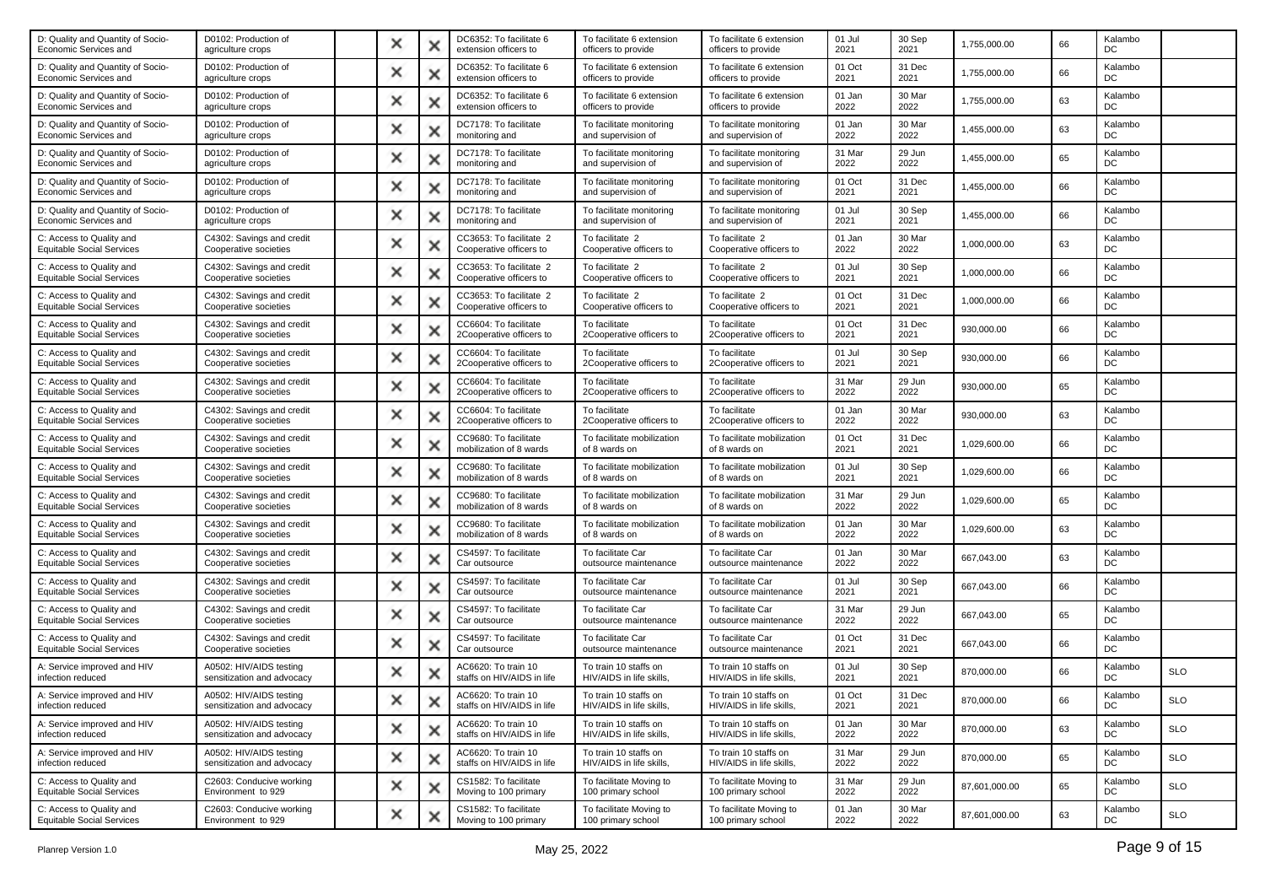| D0102: Production of<br>agriculture crops             | × |   | DC6352: To facilitate 6<br>extension officers to   | To facilitate 6 extension<br>officers to provide  | To facilitate 6 extension<br>officers to provide  | 01 Jul<br>2021 | 30 Sep<br>2021 | 1,755,000.00  | 66 | Kalambo<br>DC |            |
|-------------------------------------------------------|---|---|----------------------------------------------------|---------------------------------------------------|---------------------------------------------------|----------------|----------------|---------------|----|---------------|------------|
| D0102: Production of<br>agriculture crops             | × |   | DC6352: To facilitate 6<br>extension officers to   | To facilitate 6 extension<br>officers to provide  | To facilitate 6 extension<br>officers to provide  | 01 Oct<br>2021 | 31 Dec<br>2021 | 1,755,000.00  | 66 | Kalambo<br>DC |            |
| D0102: Production of<br>agriculture crops             | × | × | DC6352: To facilitate 6<br>extension officers to   | To facilitate 6 extension<br>officers to provide  | To facilitate 6 extension<br>officers to provide  | 01 Jan<br>2022 | 30 Mar<br>2022 | 1,755,000.00  | 63 | Kalambo<br>DC |            |
| D0102: Production of<br>agriculture crops             | × |   | DC7178: To facilitate<br>monitoring and            | To facilitate monitoring<br>and supervision of    | To facilitate monitoring<br>and supervision of    | 01 Jan<br>2022 | 30 Mar<br>2022 | 1,455,000.00  | 63 | Kalambo<br>DC |            |
| D0102: Production of<br>agriculture crops             | × | Ж | DC7178: To facilitate<br>monitoring and            | To facilitate monitoring<br>and supervision of    | To facilitate monitoring<br>and supervision of    | 31 Mar<br>2022 | 29 Jun<br>2022 | 1,455,000.00  | 65 | Kalambo<br>DC |            |
| D0102: Production of<br>agriculture crops             | × | × | DC7178: To facilitate<br>monitoring and            | To facilitate monitoring<br>and supervision of    | To facilitate monitoring<br>and supervision of    | 01 Oct<br>2021 | 31 Dec<br>2021 | 1,455,000.00  | 66 | Kalambo<br>DC |            |
| D0102: Production of<br>agriculture crops             | × |   | DC7178: To facilitate<br>monitoring and            | To facilitate monitoring<br>and supervision of    | To facilitate monitoring<br>and supervision of    | 01 Jul<br>2021 | 30 Sep<br>2021 | 1,455,000.00  | 66 | Kalambo<br>DC |            |
| C4302: Savings and credit<br>Cooperative societies    | × |   | CC3653: To facilitate 2<br>Cooperative officers to | To facilitate 2<br>Cooperative officers to        | To facilitate 2<br>Cooperative officers to        | 01 Jan<br>2022 | 30 Mar<br>2022 | 1.000.000.00  | 63 | Kalambo<br>DC |            |
| C4302: Savings and credit<br>Cooperative societies    | × | × | CC3653: To facilitate 2<br>Cooperative officers to | To facilitate 2<br>Cooperative officers to        | To facilitate 2<br>Cooperative officers to        | 01 Jul<br>2021 | 30 Sep<br>2021 | 1,000,000.00  | 66 | Kalambo<br>DC |            |
| C4302: Savings and credit<br>Cooperative societies    | × |   | CC3653: To facilitate 2<br>Cooperative officers to | To facilitate 2<br>Cooperative officers to        | To facilitate 2<br>Cooperative officers to        | 01 Oct<br>2021 | 31 Dec<br>2021 | 1,000,000.00  | 66 | Kalambo<br>DC |            |
| C4302: Savings and credit<br>Cooperative societies    | × |   | CC6604: To facilitate<br>2Cooperative officers to  | To facilitate<br>2Cooperative officers to         | To facilitate<br>2Cooperative officers to         | 01 Oct<br>2021 | 31 Dec<br>2021 | 930,000.00    | 66 | Kalambo<br>DC |            |
| C4302: Savings and credit<br>Cooperative societies    | × | × | CC6604: To facilitate<br>2Cooperative officers to  | To facilitate<br>2Cooperative officers to         | To facilitate<br>2Cooperative officers to         | 01 Jul<br>2021 | 30 Sep<br>2021 | 930,000.00    | 66 | Kalambo<br>DC |            |
| C4302: Savings and credit<br>Cooperative societies    | × |   | CC6604: To facilitate<br>2Cooperative officers to  | To facilitate<br>2Cooperative officers to         | To facilitate<br>2Cooperative officers to         | 31 Mar<br>2022 | 29 Jun<br>2022 | 930,000.00    | 65 | Kalambo<br>DC |            |
| C4302: Savings and credit<br>Cooperative societies    | × |   | CC6604: To facilitate<br>2Cooperative officers to  | To facilitate<br>2Cooperative officers to         | To facilitate<br>2Cooperative officers to         | 01 Jan<br>2022 | 30 Mar<br>2022 | 930,000.00    | 63 | Kalambo<br>DC |            |
| C4302: Savings and credit<br>Cooperative societies    | × | × | CC9680: To facilitate<br>mobilization of 8 wards   | To facilitate mobilization<br>of 8 wards on       | To facilitate mobilization<br>of 8 wards on       | 01 Oct<br>2021 | 31 Dec<br>2021 | 1,029,600.00  | 66 | Kalambo<br>DC |            |
| C4302: Savings and credit<br>Cooperative societies    | × |   | CC9680: To facilitate<br>mobilization of 8 wards   | To facilitate mobilization<br>of 8 wards on       | To facilitate mobilization<br>of 8 wards on       | 01 Jul<br>2021 | 30 Sep<br>2021 | 1,029,600.00  | 66 | Kalambo<br>DC |            |
| C4302: Savings and credit<br>Cooperative societies    | × | ж | CC9680: To facilitate<br>mobilization of 8 wards   | To facilitate mobilization<br>of 8 wards on       | To facilitate mobilization<br>of 8 wards on       | 31 Mar<br>2022 | 29 Jun<br>2022 | 1,029,600.00  | 65 | Kalambo<br>DC |            |
| C4302: Savings and credit<br>Cooperative societies    | × | × | CC9680: To facilitate<br>mobilization of 8 wards   | To facilitate mobilization<br>of 8 wards on       | To facilitate mobilization<br>of 8 wards on       | 01 Jan<br>2022 | 30 Mar<br>2022 | 1,029,600.00  | 63 | Kalambo<br>DC |            |
| C4302: Savings and credit<br>Cooperative societies    | × |   | CS4597: To facilitate<br>Car outsource             | To facilitate Car<br>outsource maintenance        | To facilitate Car<br>outsource maintenance        | 01 Jan<br>2022 | 30 Mar<br>2022 | 667,043.00    | 63 | Kalambo<br>DC |            |
| C4302: Savings and credit<br>Cooperative societies    | × |   | CS4597: To facilitate<br>Car outsource             | To facilitate Car<br>outsource maintenance        | To facilitate Car<br>outsource maintenance        | 01 Jul<br>2021 | 30 Sep<br>2021 | 667,043.00    | 66 | Kalambo<br>DC |            |
| C4302: Savings and credit<br>Cooperative societies    | × | × | CS4597: To facilitate<br>Car outsource             | To facilitate Car<br>outsource maintenance        | To facilitate Car<br>outsource maintenance        | 31 Mar<br>2022 | 29 Jun<br>2022 | 667,043.00    | 65 | Kalambo<br>DC |            |
| C4302: Savings and credit<br>Cooperative societies    | × |   | CS4597: To facilitate<br>Car outsource             | To facilitate Car<br>outsource maintenance        | To facilitate Car<br>outsource maintenance        | 01 Oct<br>2021 | 31 Dec<br>2021 | 667,043.00    | 66 | Kalambo<br>DC |            |
| A0502: HIV/AIDS testing<br>sensitization and advocacy | × |   | AC6620: To train 10<br>staffs on HIV/AIDS in life  | To train 10 staffs on<br>HIV/AIDS in life skills, | To train 10 staffs on<br>HIV/AIDS in life skills. | 01 Jul<br>2021 | 30 Sep<br>2021 | 870,000.00    | 66 | Kalambo<br>DC | <b>SLO</b> |
| A0502: HIV/AIDS testing<br>sensitization and advocacy |   |   | AC6620: To train 10<br>staffs on HIV/AIDS in life  | To train 10 staffs on<br>HIV/AIDS in life skills, | To train 10 staffs on<br>HIV/AIDS in life skills, | 01 Oct<br>2021 | 31 Dec<br>2021 | 870,000.00    | 66 | Kalambo<br>DC | <b>SLO</b> |
| A0502: HIV/AIDS testing<br>sensitization and advocacy | × | × | AC6620: To train 10<br>staffs on HIV/AIDS in life  | To train 10 staffs on<br>HIV/AIDS in life skills, | To train 10 staffs on<br>HIV/AIDS in life skills, | 01 Jan<br>2022 | 30 Mar<br>2022 | 870,000.00    | 63 | Kalambo<br>DC | <b>SLO</b> |
| A0502: HIV/AIDS testing<br>sensitization and advocacy | × | × | AC6620: To train 10<br>staffs on HIV/AIDS in life  | To train 10 staffs on<br>HIV/AIDS in life skills, | To train 10 staffs on<br>HIV/AIDS in life skills, | 31 Mar<br>2022 | 29 Jun<br>2022 | 870,000.00    | 65 | Kalambo<br>DC | <b>SLO</b> |
| C2603: Conducive working<br>Environment to 929        | × | × | CS1582: To facilitate<br>Moving to 100 primary     | To facilitate Moving to<br>100 primary school     | To facilitate Moving to<br>100 primary school     | 31 Mar<br>2022 | 29 Jun<br>2022 | 87,601,000.00 | 65 | Kalambo<br>DC | <b>SLO</b> |
| C2603: Conducive working<br>Environment to 929        | × |   | CS1582: To facilitate<br>Moving to 100 primary     | To facilitate Moving to<br>100 primary school     | To facilitate Moving to<br>100 primary school     | 01 Jan<br>2022 | 30 Mar<br>2022 | 87,601,000.00 | 63 | Kalambo<br>DC | SLO        |
|                                                       |   |   |                                                    |                                                   |                                                   |                |                |               |    |               |            |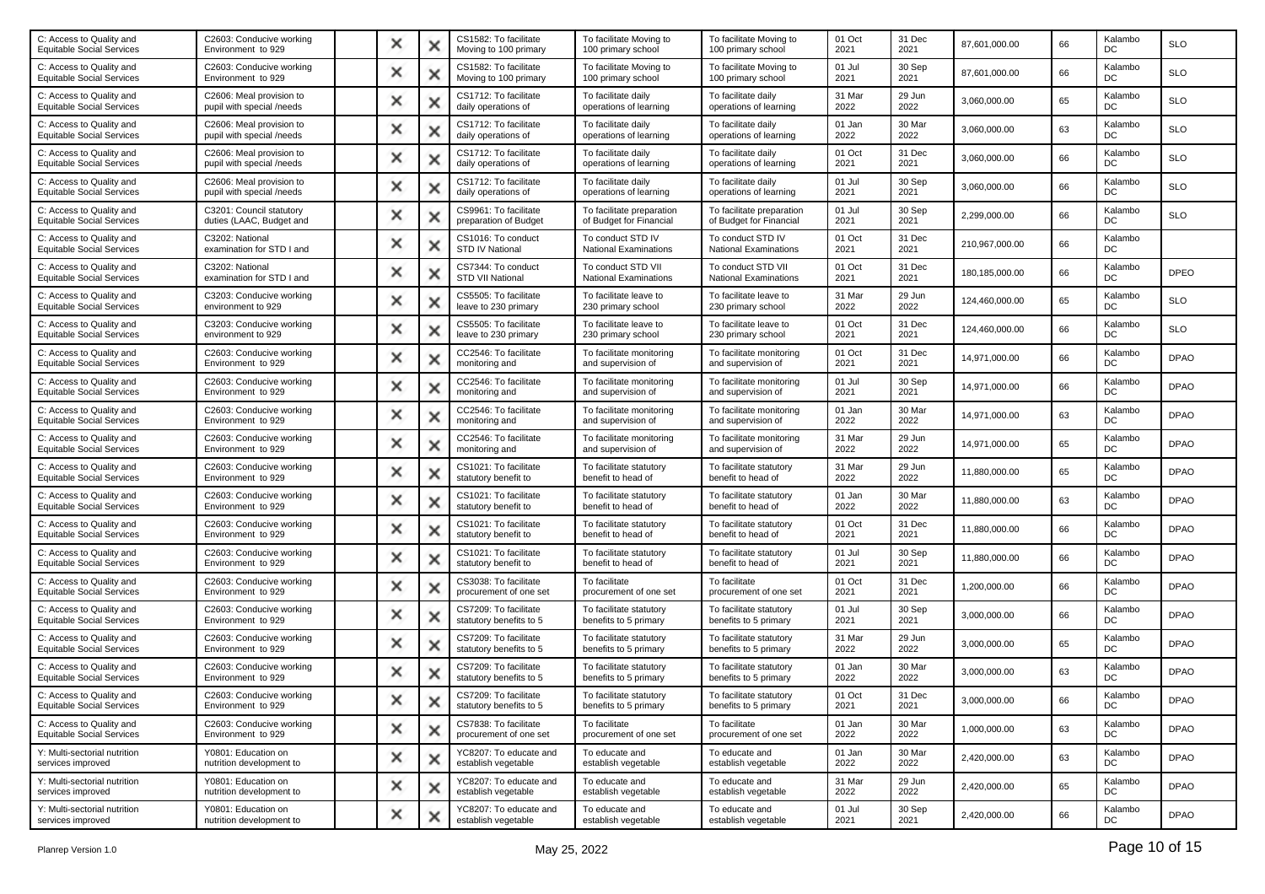| C: Access to Quality and<br><b>Equitable Social Services</b> | C2603: Conducive working<br>Environment to 929        | × |   | CS1582: To facilitate<br>Moving to 100 primary   | To facilitate Moving to<br>100 primary school        | To facilitate Moving to<br>100 primary school        | 01 Oct<br>2021 | 31 Dec<br>2021 | 87,601,000.00  | 66 | Kalambo<br>DC | <b>SLO</b>  |
|--------------------------------------------------------------|-------------------------------------------------------|---|---|--------------------------------------------------|------------------------------------------------------|------------------------------------------------------|----------------|----------------|----------------|----|---------------|-------------|
| C: Access to Quality and<br><b>Equitable Social Services</b> | C2603: Conducive working<br>Environment to 929        | × |   | CS1582: To facilitate<br>Moving to 100 primary   | To facilitate Moving to<br>100 primary school        | To facilitate Moving to<br>100 primary school        | 01 Jul<br>2021 | 30 Sep<br>2021 | 87,601,000.00  | 66 | Kalambo<br>DC | <b>SLO</b>  |
| C: Access to Quality and<br><b>Equitable Social Services</b> | C2606: Meal provision to<br>pupil with special /needs | × |   | CS1712: To facilitate<br>daily operations of     | To facilitate daily<br>operations of learning        | To facilitate daily<br>operations of learning        | 31 Mar<br>2022 | 29 Jun<br>2022 | 3,060,000.00   | 65 | Kalambo<br>DC | <b>SLO</b>  |
| C: Access to Quality and<br><b>Equitable Social Services</b> | C2606: Meal provision to<br>pupil with special /needs | × |   | CS1712: To facilitate<br>daily operations of     | To facilitate daily<br>operations of learning        | To facilitate daily<br>operations of learning        | 01 Jan<br>2022 | 30 Mar<br>2022 | 3,060,000.00   | 63 | Kalambo<br>DC | <b>SLO</b>  |
| C: Access to Quality and<br><b>Equitable Social Services</b> | C2606: Meal provision to<br>pupil with special /needs | × |   | CS1712: To facilitate<br>daily operations of     | To facilitate daily<br>operations of learning        | To facilitate daily<br>operations of learning        | 01 Oct<br>2021 | 31 Dec<br>2021 | 3,060,000.00   | 66 | Kalambo<br>DC | <b>SLO</b>  |
| C: Access to Quality and<br><b>Equitable Social Services</b> | C2606: Meal provision to<br>pupil with special /needs | × | × | CS1712: To facilitate<br>daily operations of     | To facilitate daily<br>operations of learning        | To facilitate daily<br>operations of learning        | 01 Jul<br>2021 | 30 Sep<br>2021 | 3,060,000.00   | 66 | Kalambo<br>DC | <b>SLO</b>  |
| C: Access to Quality and<br><b>Equitable Social Services</b> | C3201: Council statutory<br>duties (LAAC, Budget and  | × |   | CS9961: To facilitate<br>preparation of Budget   | To facilitate preparation<br>of Budget for Financial | To facilitate preparation<br>of Budget for Financial | 01 Jul<br>2021 | 30 Sep<br>2021 | 2,299,000.00   | 66 | Kalambo<br>DC | <b>SLO</b>  |
| C: Access to Quality and<br><b>Equitable Social Services</b> | C3202: National<br>examination for STD I and          | × |   | CS1016: To conduct<br><b>STD IV National</b>     | To conduct STD IV<br><b>National Examinations</b>    | To conduct STD IV<br>National Examinations           | 01 Oct<br>2021 | 31 Dec<br>2021 | 210,967,000.00 | 66 | Kalambo<br>DC |             |
| C: Access to Quality and<br><b>Equitable Social Services</b> | C3202: National<br>examination for STD I and          | × |   | CS7344: To conduct<br>STD VII National           | To conduct STD VII<br><b>National Examinations</b>   | To conduct STD VII<br><b>National Examinations</b>   | 01 Oct<br>2021 | 31 Dec<br>2021 | 180,185,000.00 | 66 | Kalambo<br>DC | <b>DPEO</b> |
| C: Access to Quality and<br><b>Equitable Social Services</b> | C3203: Conducive working<br>environment to 929        | × |   | CS5505: To facilitate<br>leave to 230 primary    | To facilitate leave to<br>230 primary school         | To facilitate leave to<br>230 primary school         | 31 Mar<br>2022 | 29 Jun<br>2022 | 124,460,000.00 | 65 | Kalambo<br>DC | <b>SLO</b>  |
| C: Access to Quality and<br><b>Equitable Social Services</b> | C3203: Conducive working<br>environment to 929        | × |   | CS5505: To facilitate<br>leave to 230 primary    | To facilitate leave to<br>230 primary school         | To facilitate leave to<br>230 primary school         | 01 Oct<br>2021 | 31 Dec<br>2021 | 124,460,000.00 | 66 | Kalambo<br>DC | <b>SLO</b>  |
| C: Access to Quality and<br><b>Equitable Social Services</b> | C2603: Conducive working<br>Environment to 929        | × | × | CC2546: To facilitate<br>monitoring and          | To facilitate monitoring<br>and supervision of       | To facilitate monitoring<br>and supervision of       | 01 Oct<br>2021 | 31 Dec<br>2021 | 14,971,000.00  | 66 | Kalambo<br>DC | <b>DPAO</b> |
| C: Access to Quality and<br><b>Equitable Social Services</b> | C2603: Conducive working<br>Environment to 929        | × |   | CC2546: To facilitate<br>monitoring and          | To facilitate monitoring<br>and supervision of       | To facilitate monitoring<br>and supervision of       | 01 Jul<br>2021 | 30 Sep<br>2021 | 14,971,000.00  | 66 | Kalambo<br>DC | <b>DPAO</b> |
| C: Access to Quality and<br><b>Equitable Social Services</b> | C2603: Conducive working<br>Environment to 929        | × |   | CC2546: To facilitate<br>monitoring and          | To facilitate monitoring<br>and supervision of       | To facilitate monitoring<br>and supervision of       | 01 Jan<br>2022 | 30 Mar<br>2022 | 14,971,000.00  | 63 | Kalambo<br>DC | <b>DPAO</b> |
| C: Access to Quality and<br><b>Equitable Social Services</b> | C2603: Conducive working<br>Environment to 929        | × |   | CC2546: To facilitate<br>monitoring and          | To facilitate monitoring<br>and supervision of       | To facilitate monitoring<br>and supervision of       | 31 Mar<br>2022 | 29 Jun<br>2022 | 14,971,000.00  | 65 | Kalambo<br>DC | <b>DPAO</b> |
| C: Access to Quality and<br><b>Equitable Social Services</b> | C2603: Conducive working<br>Environment to 929        | × |   | CS1021: To facilitate<br>statutory benefit to    | To facilitate statutory<br>benefit to head of        | To facilitate statutory<br>benefit to head of        | 31 Mar<br>2022 | 29 Jun<br>2022 | 11,880,000.00  | 65 | Kalambo<br>DC | <b>DPAO</b> |
| C: Access to Quality and<br><b>Equitable Social Services</b> | C2603: Conducive working<br>Environment to 929        | × |   | CS1021: To facilitate<br>statutory benefit to    | To facilitate statutory<br>benefit to head of        | To facilitate statutory<br>benefit to head of        | 01 Jan<br>2022 | 30 Mar<br>2022 | 11,880,000.00  | 63 | Kalambo<br>DC | <b>DPAO</b> |
| C: Access to Quality and<br><b>Equitable Social Services</b> | C2603: Conducive working<br>Environment to 929        | × | × | CS1021: To facilitate<br>statutory benefit to    | To facilitate statutory<br>benefit to head of        | To facilitate statutory<br>benefit to head of        | 01 Oct<br>2021 | 31 Dec<br>2021 | 11,880,000.00  | 66 | Kalambo<br>DC | <b>DPAO</b> |
| C: Access to Quality and<br><b>Equitable Social Services</b> | C2603: Conducive working<br>Environment to 929        | × |   | CS1021: To facilitate<br>statutory benefit to    | To facilitate statutory<br>benefit to head of        | To facilitate statutory<br>benefit to head of        | 01 Jul<br>2021 | 30 Sep<br>2021 | 11,880,000.00  | 66 | Kalambo<br>DC | <b>DPAO</b> |
| C: Access to Quality and<br><b>Equitable Social Services</b> | C2603: Conducive working<br>Environment to 929        | × |   | CS3038: To facilitate<br>procurement of one set  | To facilitate<br>procurement of one set              | To facilitate<br>procurement of one set              | 01 Oct<br>2021 | 31 Dec<br>2021 | 1,200,000.00   | 66 | Kalambo<br>DC | <b>DPAO</b> |
| C: Access to Quality and<br><b>Equitable Social Services</b> | C2603: Conducive working<br>Environment to 929        | × |   | CS7209: To facilitate<br>statutory benefits to 5 | To facilitate statutory<br>benefits to 5 primary     | To facilitate statutory<br>benefits to 5 primary     | 01 Jul<br>2021 | 30 Sep<br>2021 | 3,000,000.00   | 66 | Kalambo<br>DC | <b>DPAO</b> |
| C: Access to Quality and<br><b>Equitable Social Services</b> | C2603: Conducive working<br>Environment to 929        | × |   | CS7209: To facilitate<br>statutory benefits to 5 | To facilitate statutory<br>benefits to 5 primary     | To facilitate statutory<br>benefits to 5 primary     | 31 Mar<br>2022 | 29 Jun<br>2022 | 3,000,000.00   | 65 | Kalambo<br>DC | <b>DPAO</b> |
| C: Access to Quality and<br><b>Equitable Social Services</b> | C2603: Conducive working<br>Environment to 929        | × |   | CS7209: To facilitate<br>statutory benefits to 5 | To facilitate statutory<br>benefits to 5 primary     | To facilitate statutory<br>benefits to 5 primary     | 01 Jan<br>2022 | 30 Mar<br>2022 | 3,000,000.00   | 63 | Kalambo<br>DC | <b>DPAO</b> |
| C: Access to Quality and<br><b>Equitable Social Services</b> | C2603: Conducive working<br>Environment to 929        |   |   | CS7209: To facilitate<br>statutory benefits to 5 | To facilitate statutory<br>benefits to 5 primary     | To facilitate statutory<br>benefits to 5 primary     | 01 Oct<br>2021 | 31 Dec<br>2021 | 3,000,000.00   | 66 | Kalambo<br>DC | <b>DPAO</b> |
| C: Access to Quality and<br><b>Equitable Social Services</b> | C2603: Conducive working<br>Environment to 929        | × |   | CS7838: To facilitate<br>procurement of one set  | To facilitate<br>procurement of one set              | To facilitate<br>procurement of one set              | 01 Jan<br>2022 | 30 Mar<br>2022 | 1,000,000.00   | 63 | Kalambo<br>DC | <b>DPAO</b> |
| Y: Multi-sectorial nutrition<br>services improved            | Y0801: Education on<br>nutrition development to       | × | х | YC8207: To educate and<br>establish vegetable    | To educate and<br>establish vegetable                | To educate and<br>establish vegetable                | 01 Jan<br>2022 | 30 Mar<br>2022 | 2,420,000.00   | 63 | Kalambo<br>DC | <b>DPAO</b> |
| Y: Multi-sectorial nutrition<br>services improved            | Y0801: Education on<br>nutrition development to       | × | × | YC8207: To educate and<br>establish vegetable    | To educate and<br>establish vegetable                | To educate and<br>establish vegetable                | 31 Mar<br>2022 | 29 Jun<br>2022 | 2,420,000.00   | 65 | Kalambo<br>DC | <b>DPAO</b> |
| Y: Multi-sectorial nutrition<br>services improved            | Y0801: Education on<br>nutrition development to       | × | × | YC8207: To educate and<br>establish vegetable    | To educate and<br>establish vegetable                | To educate and<br>establish vegetable                | 01 Jul<br>2021 | 30 Sep<br>2021 | 2,420,000.00   | 66 | Kalambo<br>DC | <b>DPAO</b> |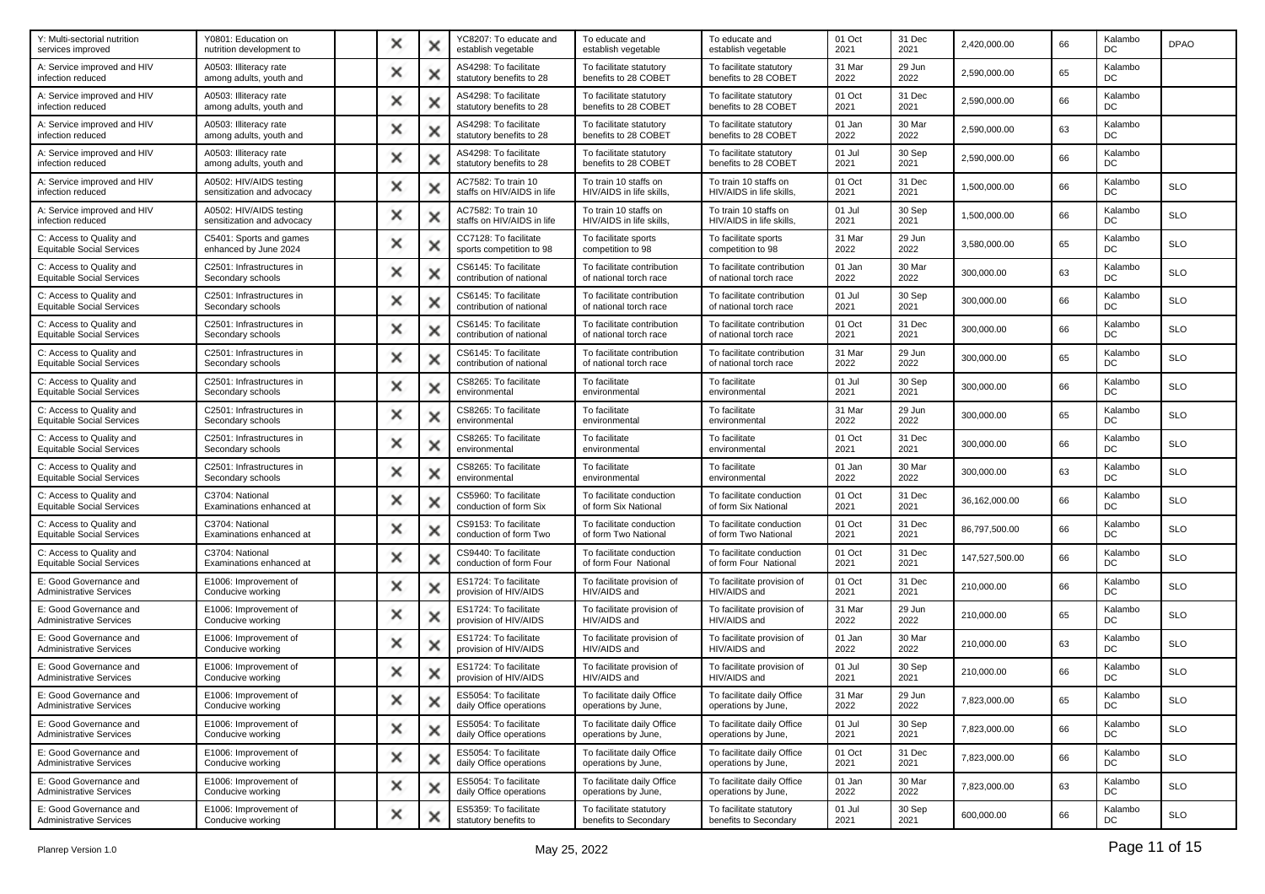| Y: Multi-sectorial nutrition<br>services improved            | Y0801: Education on<br>nutrition development to       | × |   | YC8207: To educate and<br>establish vegetable     | To educate and<br>establish vegetable                | To educate and<br>establish vegetable                | 01 Oct<br>2021 | 31 Dec<br>2021 | 2,420,000.00   | 66 | Kalambo<br>DC | <b>DPAO</b> |
|--------------------------------------------------------------|-------------------------------------------------------|---|---|---------------------------------------------------|------------------------------------------------------|------------------------------------------------------|----------------|----------------|----------------|----|---------------|-------------|
| A: Service improved and HIV<br>infection reduced             | A0503: Illiteracy rate<br>among adults, youth and     | × |   | AS4298: To facilitate<br>statutory benefits to 28 | To facilitate statutory<br>benefits to 28 COBET      | To facilitate statutory<br>benefits to 28 COBET      | 31 Mar<br>2022 | 29 Jun<br>2022 | 2,590,000.00   | 65 | Kalambo<br>DC |             |
| A: Service improved and HIV<br>infection reduced             | A0503: Illiteracy rate<br>among adults, youth and     | × |   | AS4298: To facilitate<br>statutory benefits to 28 | To facilitate statutory<br>benefits to 28 COBET      | To facilitate statutory<br>benefits to 28 COBET      | 01 Oct<br>2021 | 31 Dec<br>2021 | 2,590,000.00   | 66 | Kalambo<br>DC |             |
| A: Service improved and HIV<br>infection reduced             | A0503: Illiteracy rate<br>among adults, youth and     | × |   | AS4298: To facilitate<br>statutory benefits to 28 | To facilitate statutory<br>benefits to 28 COBET      | To facilitate statutory<br>benefits to 28 COBET      | 01 Jan<br>2022 | 30 Mar<br>2022 | 2,590,000.00   | 63 | Kalambo<br>DC |             |
| A: Service improved and HIV<br>infection reduced             | A0503: Illiteracy rate<br>among adults, youth and     | × |   | AS4298: To facilitate<br>statutory benefits to 28 | To facilitate statutory<br>benefits to 28 COBET      | To facilitate statutory<br>benefits to 28 COBET      | 01 Jul<br>2021 | 30 Sep<br>2021 | 2,590,000.00   | 66 | Kalambo<br>DC |             |
| A: Service improved and HIV<br>infection reduced             | A0502: HIV/AIDS testing<br>sensitization and advocacy | × |   | AC7582: To train 10<br>staffs on HIV/AIDS in life | To train 10 staffs on<br>HIV/AIDS in life skills,    | To train 10 staffs on<br>HIV/AIDS in life skills,    | 01 Oct<br>2021 | 31 Dec<br>2021 | 1,500,000.00   | 66 | Kalambo<br>DC | <b>SLO</b>  |
| A: Service improved and HIV<br>infection reduced             | A0502: HIV/AIDS testing<br>sensitization and advocacy | × |   | AC7582: To train 10<br>staffs on HIV/AIDS in life | To train 10 staffs on<br>HIV/AIDS in life skills,    | To train 10 staffs on<br>HIV/AIDS in life skills,    | 01 Jul<br>2021 | 30 Sep<br>2021 | 1,500,000.00   | 66 | Kalambo<br>DC | <b>SLO</b>  |
| C: Access to Quality and<br><b>Equitable Social Services</b> | C5401: Sports and games<br>enhanced by June 2024      | × |   | CC7128: To facilitate<br>sports competition to 98 | To facilitate sports<br>competition to 98            | To facilitate sports<br>competition to 98            | 31 Mar<br>2022 | 29 Jun<br>2022 | 3,580,000.00   | 65 | Kalambo<br>DC | <b>SLO</b>  |
| C: Access to Quality and<br><b>Equitable Social Services</b> | C2501: Infrastructures in<br>Secondary schools        | × |   | CS6145: To facilitate<br>contribution of national | To facilitate contribution<br>of national torch race | To facilitate contribution<br>of national torch race | 01 Jan<br>2022 | 30 Mar<br>2022 | 300,000.00     | 63 | Kalambo<br>DC | <b>SLO</b>  |
| C: Access to Quality and<br><b>Equitable Social Services</b> | C2501: Infrastructures in<br>Secondary schools        | × |   | CS6145: To facilitate<br>contribution of national | To facilitate contribution<br>of national torch race | To facilitate contribution<br>of national torch race | 01 Jul<br>2021 | 30 Sep<br>2021 | 300,000.00     | 66 | Kalambo<br>DC | <b>SLO</b>  |
| C: Access to Quality and<br><b>Equitable Social Services</b> | C2501: Infrastructures in<br>Secondary schools        | × |   | CS6145: To facilitate<br>contribution of national | To facilitate contribution<br>of national torch race | To facilitate contribution<br>of national torch race | 01 Oct<br>2021 | 31 Dec<br>2021 | 300,000.00     | 66 | Kalambo<br>DC | <b>SLO</b>  |
| C: Access to Quality and<br><b>Equitable Social Services</b> | C2501: Infrastructures in<br>Secondary schools        | × |   | CS6145: To facilitate<br>contribution of national | To facilitate contribution<br>of national torch race | To facilitate contribution<br>of national torch race | 31 Mar<br>2022 | 29 Jun<br>2022 | 300,000.00     | 65 | Kalambo<br>DC | <b>SLO</b>  |
| C: Access to Quality and<br><b>Equitable Social Services</b> | C2501: Infrastructures in<br>Secondary schools        | × |   | CS8265: To facilitate<br>environmental            | To facilitate<br>environmental                       | To facilitate<br>environmental                       | 01 Jul<br>2021 | 30 Sep<br>2021 | 300,000.00     | 66 | Kalambo<br>DC | <b>SLO</b>  |
| C: Access to Quality and<br><b>Equitable Social Services</b> | C2501: Infrastructures in<br>Secondary schools        | × |   | CS8265: To facilitate<br>environmental            | To facilitate<br>environmental                       | To facilitate<br>environmental                       | 31 Mar<br>2022 | 29 Jun<br>2022 | 300,000.00     | 65 | Kalambo<br>DC | <b>SLO</b>  |
| C: Access to Quality and<br><b>Equitable Social Services</b> | C2501: Infrastructures in<br>Secondary schools        | × |   | CS8265: To facilitate<br>environmental            | To facilitate<br>environmental                       | To facilitate<br>environmental                       | 01 Oct<br>2021 | 31 Dec<br>2021 | 300,000.00     | 66 | Kalambo<br>DC | <b>SLO</b>  |
| C: Access to Quality and<br><b>Equitable Social Services</b> | C2501: Infrastructures in<br>Secondary schools        | × |   | CS8265: To facilitate<br>environmental            | To facilitate<br>environmental                       | To facilitate<br>environmental                       | 01 Jan<br>2022 | 30 Mar<br>2022 | 300,000.00     | 63 | Kalambo<br>DC | <b>SLO</b>  |
| C: Access to Quality and<br><b>Equitable Social Services</b> | C3704: National<br>Examinations enhanced at           | × |   | CS5960: To facilitate<br>conduction of form Six   | To facilitate conduction<br>of form Six National     | To facilitate conduction<br>of form Six National     | 01 Oct<br>2021 | 31 Dec<br>2021 | 36,162,000.00  | 66 | Kalambo<br>DC | <b>SLO</b>  |
| C: Access to Quality and<br><b>Equitable Social Services</b> | C3704: National<br>Examinations enhanced at           | × |   | CS9153: To facilitate<br>conduction of form Two   | To facilitate conduction<br>of form Two National     | To facilitate conduction<br>of form Two National     | 01 Oct<br>2021 | 31 Dec<br>2021 | 86,797,500.00  | 66 | Kalambo<br>DC | <b>SLO</b>  |
| C: Access to Quality and<br><b>Equitable Social Services</b> | C3704: National<br>Examinations enhanced at           | × |   | CS9440: To facilitate<br>conduction of form Four  | To facilitate conduction<br>of form Four National    | To facilitate conduction<br>of form Four National    | 01 Oct<br>2021 | 31 Dec<br>2021 | 147,527,500.00 | 66 | Kalambo<br>DC | <b>SLO</b>  |
| E: Good Governance and<br><b>Administrative Services</b>     | E1006: Improvement of<br>Conducive working            | × |   | ES1724: To facilitate<br>provision of HIV/AIDS    | To facilitate provision of<br>HIV/AIDS and           | To facilitate provision of<br>HIV/AIDS and           | 01 Oct<br>2021 | 31 Dec<br>2021 | 210,000.00     | 66 | Kalambo<br>DC | <b>SLO</b>  |
| E: Good Governance and<br><b>Administrative Services</b>     | E1006: Improvement of<br>Conducive working            | × |   | ES1724: To facilitate<br>provision of HIV/AIDS    | To facilitate provision of<br>HIV/AIDS and           | To facilitate provision of<br>HIV/AIDS and           | 31 Mar<br>2022 | 29 Jun<br>2022 | 210,000.00     | 65 | Kalambo<br>DC | <b>SLO</b>  |
| E: Good Governance and<br><b>Administrative Services</b>     | E1006: Improvement of<br>Conducive working            | × |   | ES1724: To facilitate<br>provision of HIV/AIDS    | To facilitate provision of<br>HIV/AIDS and           | To facilitate provision of<br>HIV/AIDS and           | 01 Jan<br>2022 | 30 Mar<br>2022 | 210,000.00     | 63 | Kalambo<br>DC | <b>SLO</b>  |
| E: Good Governance and<br><b>Administrative Services</b>     | E1006: Improvement of<br>Conducive working            | × |   | ES1724: To facilitate<br>provision of HIV/AIDS    | To facilitate provision of<br>HIV/AIDS and           | To facilitate provision of<br>HIV/AIDS and           | 01 Jul<br>2021 | 30 Sep<br>2021 | 210,000.00     | 66 | Kalambo<br>DC | <b>SLO</b>  |
| E: Good Governance and<br><b>Administrative Services</b>     | E1006: Improvement of<br>Conducive working            |   |   | ES5054: To facilitate<br>daily Office operations  | To facilitate daily Office<br>operations by June,    | To facilitate daily Office<br>operations by June,    | 31 Mar<br>2022 | 29 Jun<br>2022 | 7,823,000.00   | 65 | Kalambo<br>DC | <b>SLO</b>  |
| E: Good Governance and<br><b>Administrative Services</b>     | E1006: Improvement of<br>Conducive working            | × | × | ES5054: To facilitate<br>daily Office operations  | To facilitate daily Office<br>operations by June,    | To facilitate daily Office<br>operations by June,    | 01 Jul<br>2021 | 30 Sep<br>2021 | 7,823,000.00   | 66 | Kalambo<br>DC | <b>SLO</b>  |
| E: Good Governance and<br><b>Administrative Services</b>     | E1006: Improvement of<br>Conducive working            | × | × | ES5054: To facilitate<br>daily Office operations  | To facilitate daily Office<br>operations by June,    | To facilitate daily Office<br>operations by June,    | 01 Oct<br>2021 | 31 Dec<br>2021 | 7,823,000.00   | 66 | Kalambo<br>DC | <b>SLO</b>  |
| E: Good Governance and<br><b>Administrative Services</b>     | E1006: Improvement of<br>Conducive working            | × |   | ES5054: To facilitate<br>daily Office operations  | To facilitate daily Office<br>operations by June,    | To facilitate daily Office<br>operations by June,    | 01 Jan<br>2022 | 30 Mar<br>2022 | 7,823,000.00   | 63 | Kalambo<br>DC | <b>SLO</b>  |
| E: Good Governance and<br><b>Administrative Services</b>     | E1006: Improvement of<br>Conducive working            | × | × | ES5359: To facilitate<br>statutory benefits to    | To facilitate statutory<br>benefits to Secondary     | To facilitate statutory<br>benefits to Secondary     | 01 Jul<br>2021 | 30 Sep<br>2021 | 600,000.00     | 66 | Kalambo<br>DC | <b>SLO</b>  |
|                                                              |                                                       |   |   |                                                   |                                                      |                                                      |                |                |                |    |               |             |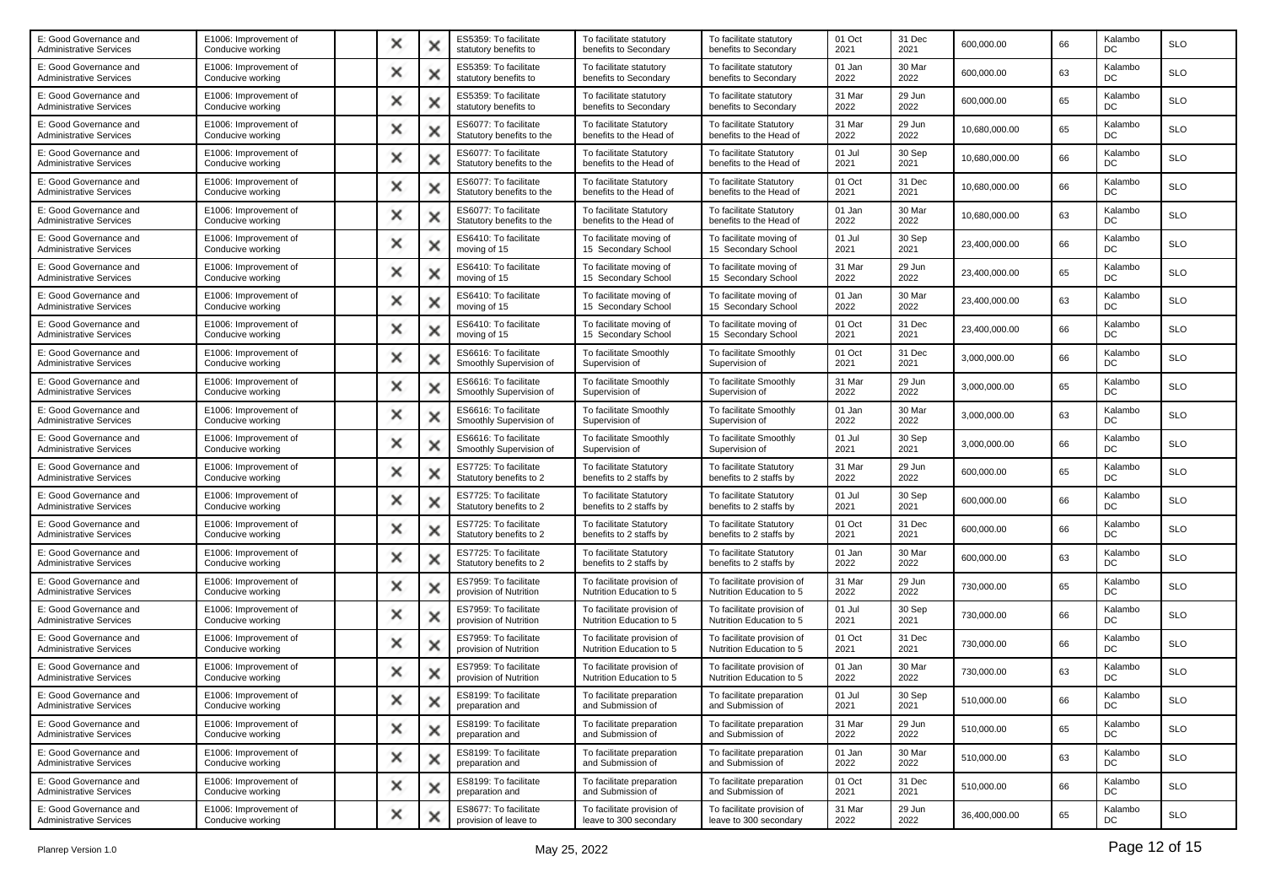| E: Good Governance and<br>Administrative Services        | E1006: Improvement of<br>Conducive working | × | × | ES5359: To facilitate<br>statutory benefits to     | To facilitate statutory<br>benefits to Secondary       | To facilitate statutory<br>benefits to Secondary       | 01 Oct<br>2021 | 31 Dec<br>2021 | 600,000.00    | 66 | Kalambo<br>DC        | <b>SLO</b> |
|----------------------------------------------------------|--------------------------------------------|---|---|----------------------------------------------------|--------------------------------------------------------|--------------------------------------------------------|----------------|----------------|---------------|----|----------------------|------------|
| E: Good Governance and<br><b>Administrative Services</b> | E1006: Improvement of<br>Conducive working | × | х | ES5359: To facilitate<br>statutory benefits to     | To facilitate statutory<br>benefits to Secondary       | To facilitate statutory<br>benefits to Secondary       | 01 Jan<br>2022 | 30 Mar<br>2022 | 600,000.00    | 63 | Kalambo<br>DC        | <b>SLO</b> |
| E: Good Governance and<br><b>Administrative Services</b> | E1006: Improvement of<br>Conducive working | × | x | ES5359: To facilitate<br>statutory benefits to     | To facilitate statutory<br>benefits to Secondary       | To facilitate statutory<br>benefits to Secondary       | 31 Mar<br>2022 | 29 Jun<br>2022 | 600,000.00    | 65 | Kalambo<br>DC        | <b>SLO</b> |
| E: Good Governance and<br><b>Administrative Services</b> | E1006: Improvement of<br>Conducive working | × |   | ES6077: To facilitate<br>Statutory benefits to the | To facilitate Statutory<br>benefits to the Head of     | To facilitate Statutory<br>benefits to the Head of     | 31 Mar<br>2022 | 29 Jun<br>2022 | 10,680,000.00 | 65 | Kalambo<br>DC        | <b>SLO</b> |
| E: Good Governance and<br><b>Administrative Services</b> | E1006: Improvement of<br>Conducive working | × | × | ES6077: To facilitate<br>Statutory benefits to the | To facilitate Statutory<br>benefits to the Head of     | To facilitate Statutory<br>benefits to the Head of     | 01 Jul<br>2021 | 30 Sep<br>2021 | 10,680,000.00 | 66 | Kalambo<br>DC        | <b>SLO</b> |
| E: Good Governance and<br><b>Administrative Services</b> | E1006: Improvement of<br>Conducive working | × | x | ES6077: To facilitate<br>Statutory benefits to the | To facilitate Statutory<br>benefits to the Head of     | To facilitate Statutory<br>benefits to the Head of     | 01 Oct<br>2021 | 31 Dec<br>2021 | 10,680,000.00 | 66 | Kalambo<br><b>DC</b> | <b>SLO</b> |
| E: Good Governance and<br><b>Administrative Services</b> | E1006: Improvement of<br>Conducive working | × | х | ES6077: To facilitate<br>Statutory benefits to the | To facilitate Statutory<br>benefits to the Head of     | To facilitate Statutory<br>benefits to the Head of     | 01 Jan<br>2022 | 30 Mar<br>2022 | 10,680,000.00 | 63 | Kalambo<br>DC        | <b>SLO</b> |
| E: Good Governance and<br><b>Administrative Services</b> | E1006: Improvement of<br>Conducive working | × | х | ES6410: To facilitate<br>moving of 15              | To facilitate moving of<br>15 Secondary School         | To facilitate moving of<br>15 Secondary School         | 01 Jul<br>2021 | 30 Sep<br>2021 | 23,400,000.00 | 66 | Kalambo<br>DC        | <b>SLO</b> |
| E: Good Governance and<br><b>Administrative Services</b> | E1006: Improvement of<br>Conducive working | × | × | ES6410: To facilitate<br>moving of 15              | To facilitate moving of<br>15 Secondary School         | To facilitate moving of<br>15 Secondary School         | 31 Mar<br>2022 | 29 Jun<br>2022 | 23,400,000.00 | 65 | Kalambo<br>DC        | <b>SLO</b> |
| E: Good Governance and<br><b>Administrative Services</b> | E1006: Improvement of<br>Conducive working | × |   | ES6410: To facilitate<br>moving of 15              | To facilitate moving of<br>15 Secondary School         | To facilitate moving of<br>15 Secondary School         | 01 Jan<br>2022 | 30 Mar<br>2022 | 23,400,000.00 | 63 | Kalambo<br>DC        | <b>SLO</b> |
| E: Good Governance and<br><b>Administrative Services</b> | E1006: Improvement of<br>Conducive working | × | × | ES6410: To facilitate<br>moving of 15              | To facilitate moving of<br>15 Secondary School         | To facilitate moving of<br>15 Secondary School         | 01 Oct<br>2021 | 31 Dec<br>2021 | 23,400,000.00 | 66 | Kalambo<br>DC        | <b>SLO</b> |
| E: Good Governance and<br><b>Administrative Services</b> | E1006: Improvement of<br>Conducive working | × | x | ES6616: To facilitate<br>Smoothly Supervision of   | To facilitate Smoothly<br>Supervision of               | To facilitate Smoothly<br>Supervision of               | 01 Oct<br>2021 | 31 Dec<br>2021 | 3.000.000.00  | 66 | Kalambo<br>DC        | <b>SLO</b> |
| E: Good Governance and<br><b>Administrative Services</b> | E1006: Improvement of<br>Conducive working | × |   | ES6616: To facilitate<br>Smoothly Supervision of   | To facilitate Smoothly<br>Supervision of               | To facilitate Smoothly<br>Supervision of               | 31 Mar<br>2022 | 29 Jun<br>2022 | 3,000,000.00  | 65 | Kalambo<br>DC        | <b>SLO</b> |
| E: Good Governance and<br><b>Administrative Services</b> | E1006: Improvement of<br>Conducive working | × | х | ES6616: To facilitate<br>Smoothly Supervision of   | To facilitate Smoothly<br>Supervision of               | To facilitate Smoothly<br>Supervision of               | 01 Jan<br>2022 | 30 Mar<br>2022 | 3,000,000.00  | 63 | Kalambo<br>DC        | <b>SLO</b> |
| E: Good Governance and<br><b>Administrative Services</b> | E1006: Improvement of<br>Conducive working | × | × | ES6616: To facilitate<br>Smoothly Supervision of   | To facilitate Smoothly<br>Supervision of               | To facilitate Smoothly<br>Supervision of               | 01 Jul<br>2021 | 30 Sep<br>2021 | 3,000,000.00  | 66 | Kalambo<br>DC        | <b>SLO</b> |
| E: Good Governance and<br>Administrative Services        | E1006: Improvement of<br>Conducive working | × |   | ES7725: To facilitate<br>Statutory benefits to 2   | To facilitate Statutory<br>benefits to 2 staffs by     | To facilitate Statutory<br>benefits to 2 staffs by     | 31 Mar<br>2022 | 29 Jun<br>2022 | 600,000.00    | 65 | Kalambo<br>DC        | <b>SLO</b> |
| E: Good Governance and<br><b>Administrative Services</b> | E1006: Improvement of<br>Conducive working | × | × | ES7725: To facilitate<br>Statutory benefits to 2   | To facilitate Statutory<br>benefits to 2 staffs by     | To facilitate Statutory<br>benefits to 2 staffs by     | 01 Jul<br>2021 | 30 Sep<br>2021 | 600,000.00    | 66 | Kalambo<br>DC        | <b>SLO</b> |
| E: Good Governance and<br>Administrative Services        | E1006: Improvement of<br>Conducive working | × | x | ES7725: To facilitate<br>Statutory benefits to 2   | To facilitate Statutory<br>benefits to 2 staffs by     | To facilitate Statutory<br>benefits to 2 staffs by     | 01 Oct<br>2021 | 31 Dec<br>2021 | 600,000.00    | 66 | Kalambo<br>DC        | <b>SLO</b> |
| E: Good Governance and<br><b>Administrative Services</b> | E1006: Improvement of<br>Conducive working | × | × | ES7725: To facilitate<br>Statutory benefits to 2   | To facilitate Statutory<br>benefits to 2 staffs by     | To facilitate Statutory<br>benefits to 2 staffs by     | 01 Jan<br>2022 | 30 Mar<br>2022 | 600,000.00    | 63 | Kalambo<br>DC        | <b>SLO</b> |
| E: Good Governance and<br><b>Administrative Services</b> | E1006: Improvement of<br>Conducive working | × |   | ES7959: To facilitate<br>provision of Nutrition    | To facilitate provision of<br>Nutrition Education to 5 | To facilitate provision of<br>Nutrition Education to 5 | 31 Mar<br>2022 | 29 Jun<br>2022 | 730,000.00    | 65 | Kalambo<br>DC        | <b>SLO</b> |
| E: Good Governance and<br><b>Administrative Services</b> | E1006: Improvement of<br>Conducive working | × | × | ES7959: To facilitate<br>provision of Nutrition    | To facilitate provision of<br>Nutrition Education to 5 | To facilitate provision of<br>Nutrition Education to 5 | 01 Jul<br>2021 | 30 Sep<br>2021 | 730,000.00    | 66 | Kalambo<br>DC        | <b>SLO</b> |
| E: Good Governance and<br><b>Administrative Services</b> | E1006: Improvement of<br>Conducive working | × |   | ES7959: To facilitate<br>provision of Nutrition    | To facilitate provision of<br>Nutrition Education to 5 | To facilitate provision of<br>Nutrition Education to 5 | 01 Oct<br>2021 | 31 Dec<br>2021 | 730,000.00    | 66 | Kalambo<br>DC        | <b>SLO</b> |
| E: Good Governance and<br><b>Administrative Services</b> | E1006: Improvement of<br>Conducive working |   |   | ES7959: To facilitate<br>provision of Nutrition    | To facilitate provision of<br>Nutrition Education to 5 | To facilitate provision of<br>Nutrition Education to 5 | 01 Jan<br>2022 | 30 Mar<br>2022 | 730,000.00    | 63 | Kalambo<br>DC        | <b>SLO</b> |
| E: Good Governance and<br><b>Administrative Services</b> | E1006: Improvement of<br>Conducive working |   |   | ES8199: To facilitate<br>preparation and           | To facilitate preparation<br>and Submission of         | To facilitate preparation<br>and Submission of         | 01 Jul<br>2021 | 30 Sep<br>2021 | 510,000.00    | 66 | Kalambo<br>DC        | <b>SLO</b> |
| E: Good Governance and<br><b>Administrative Services</b> | E1006: Improvement of<br>Conducive working | × | × | ES8199: To facilitate<br>preparation and           | To facilitate preparation<br>and Submission of         | To facilitate preparation<br>and Submission of         | 31 Mar<br>2022 | 29 Jun<br>2022 | 510,000.00    | 65 | Kalambo<br>DC        | <b>SLO</b> |
| E: Good Governance and<br><b>Administrative Services</b> | E1006: Improvement of<br>Conducive working | × | × | ES8199: To facilitate<br>preparation and           | To facilitate preparation<br>and Submission of         | To facilitate preparation<br>and Submission of         | 01 Jan<br>2022 | 30 Mar<br>2022 | 510,000.00    | 63 | Kalambo<br>DC        | <b>SLO</b> |
| E: Good Governance and<br><b>Administrative Services</b> | E1006: Improvement of<br>Conducive working | × | × | ES8199: To facilitate<br>preparation and           | To facilitate preparation<br>and Submission of         | To facilitate preparation<br>and Submission of         | 01 Oct<br>2021 | 31 Dec<br>2021 | 510,000.00    | 66 | Kalambo<br>DC        | <b>SLO</b> |
| E: Good Governance and<br><b>Administrative Services</b> | E1006: Improvement of<br>Conducive working | × | × | ES8677: To facilitate<br>provision of leave to     | To facilitate provision of<br>leave to 300 secondary   | To facilitate provision of<br>leave to 300 secondary   | 31 Mar<br>2022 | 29 Jun<br>2022 | 36,400,000.00 | 65 | Kalambo<br>DC        | <b>SLO</b> |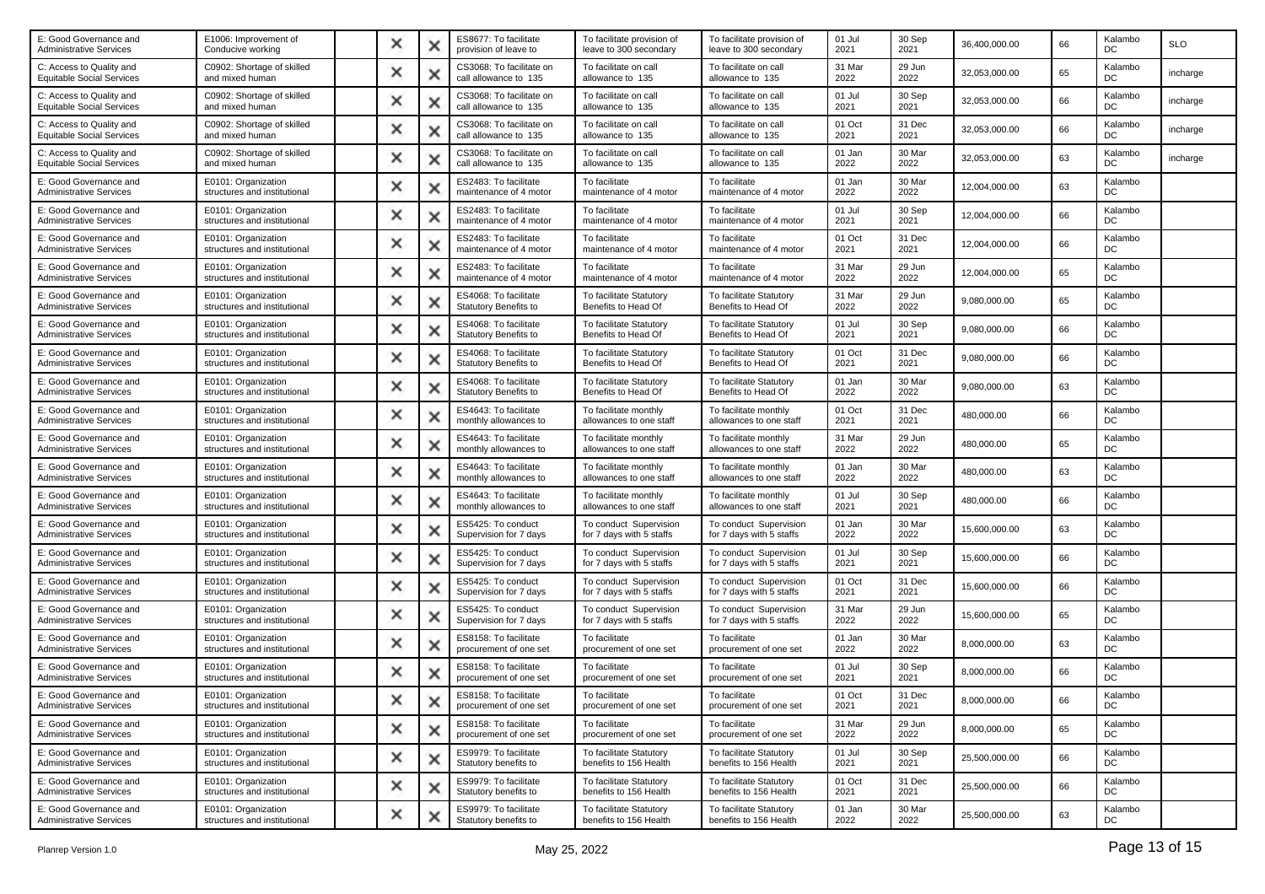| E: Good Governance and<br><b>Administrative Services</b>     | E1006: Improvement of<br>Conducive working          | × |   | ES8677: To facilitate<br>provision of leave to        | To facilitate provision of<br>leave to 300 secondary | To facilitate provision of<br>leave to 300 secondary | 01 Jul<br>2021 | 30 Sep<br>2021 | 36,400,000.00 | 66 | Kalambo<br>DC | <b>SLO</b> |
|--------------------------------------------------------------|-----------------------------------------------------|---|---|-------------------------------------------------------|------------------------------------------------------|------------------------------------------------------|----------------|----------------|---------------|----|---------------|------------|
| C: Access to Quality and<br><b>Equitable Social Services</b> | C0902: Shortage of skilled<br>and mixed human       | × | х | CS3068: To facilitate on<br>call allowance to 135     | To facilitate on call<br>allowance to 135            | To facilitate on call<br>allowance to 135            | 31 Mar<br>2022 | 29 Jun<br>2022 | 32,053,000.00 | 65 | Kalambo<br>DC | incharge   |
| C: Access to Quality and<br><b>Equitable Social Services</b> | C0902: Shortage of skilled<br>and mixed human       | × | × | CS3068: To facilitate on<br>call allowance to 135     | To facilitate on call<br>allowance to 135            | To facilitate on call<br>allowance to 135            | 01 Jul<br>2021 | 30 Sep<br>2021 | 32,053,000.00 | 66 | Kalambo<br>DC | incharge   |
| C: Access to Quality and<br><b>Equitable Social Services</b> | C0902: Shortage of skilled<br>and mixed human       | × |   | CS3068: To facilitate on<br>call allowance to 135     | To facilitate on call<br>allowance to 135            | To facilitate on call<br>allowance to 135            | 01 Oct<br>2021 | 31 Dec<br>2021 | 32,053,000.00 | 66 | Kalambo<br>DC | incharge   |
| C: Access to Quality and<br><b>Equitable Social Services</b> | C0902: Shortage of skilled<br>and mixed human       | × | х | CS3068: To facilitate on<br>call allowance to 135     | To facilitate on call<br>allowance to 135            | To facilitate on call<br>allowance to 135            | 01 Jan<br>2022 | 30 Mar<br>2022 | 32,053,000.00 | 63 | Kalambo<br>DC | incharge   |
| E: Good Governance and<br><b>Administrative Services</b>     | E0101: Organization<br>structures and institutional | × | x | ES2483: To facilitate<br>maintenance of 4 motor       | To facilitate<br>maintenance of 4 motor              | To facilitate<br>maintenance of 4 motor              | 01 Jan<br>2022 | 30 Mar<br>2022 | 12,004,000.00 | 63 | Kalambo<br>DC |            |
| E: Good Governance and<br>Administrative Services            | E0101: Organization<br>structures and institutional | × | x | ES2483: To facilitate<br>maintenance of 4 motor       | To facilitate<br>maintenance of 4 motor              | To facilitate<br>maintenance of 4 motor              | 01 Jul<br>2021 | 30 Sep<br>2021 | 12,004,000.00 | 66 | Kalambo<br>DC |            |
| E: Good Governance and<br><b>Administrative Services</b>     | E0101: Organization<br>structures and institutional | × | х | ES2483: To facilitate<br>maintenance of 4 motor       | To facilitate<br>maintenance of 4 motor              | To facilitate<br>maintenance of 4 motor              | 01 Oct<br>2021 | 31 Dec<br>2021 | 12,004,000.00 | 66 | Kalambo<br>DC |            |
| E: Good Governance and<br><b>Administrative Services</b>     | E0101: Organization<br>structures and institutional | × | × | ES2483: To facilitate<br>maintenance of 4 motor       | To facilitate<br>maintenance of 4 motor              | To facilitate<br>maintenance of 4 motor              | 31 Mar<br>2022 | 29 Jun<br>2022 | 12,004,000.00 | 65 | Kalambo<br>DC |            |
| E: Good Governance and<br><b>Administrative Services</b>     | E0101: Organization<br>structures and institutional | × | × | ES4068: To facilitate<br><b>Statutory Benefits to</b> | To facilitate Statutory<br>Benefits to Head Of       | To facilitate Statutory<br>Benefits to Head Of       | 31 Mar<br>2022 | 29 Jun<br>2022 | 9,080,000.00  | 65 | Kalambo<br>DC |            |
| E: Good Governance and<br><b>Administrative Services</b>     | E0101: Organization<br>structures and institutional | × | × | ES4068: To facilitate<br><b>Statutory Benefits to</b> | To facilitate Statutory<br>Benefits to Head Of       | To facilitate Statutory<br>Benefits to Head Of       | 01 Jul<br>2021 | 30 Sep<br>2021 | 9,080,000.00  | 66 | Kalambo<br>DC |            |
| E: Good Governance and<br><b>Administrative Services</b>     | E0101: Organization<br>structures and institutional | × | × | ES4068: To facilitate<br>Statutory Benefits to        | To facilitate Statutory<br>Benefits to Head Of       | To facilitate Statutory<br>Benefits to Head Of       | 01 Oct<br>2021 | 31 Dec<br>2021 | 9,080,000.00  | 66 | Kalambo<br>DC |            |
| E: Good Governance and<br><b>Administrative Services</b>     | E0101: Organization<br>structures and institutional | × | × | ES4068: To facilitate<br>Statutory Benefits to        | To facilitate Statutory<br>Benefits to Head Of       | To facilitate Statutory<br>Benefits to Head Of       | 01 Jan<br>2022 | 30 Mar<br>2022 | 9,080,000.00  | 63 | Kalambo<br>DC |            |
| E: Good Governance and<br><b>Administrative Services</b>     | E0101: Organization<br>structures and institutional | × | х | ES4643: To facilitate<br>monthly allowances to        | To facilitate monthly<br>allowances to one staff     | To facilitate monthly<br>allowances to one staff     | 01 Oct<br>2021 | 31 Dec<br>2021 | 480,000.00    | 66 | Kalambo<br>DC |            |
| E: Good Governance and<br><b>Administrative Services</b>     | E0101: Organization<br>structures and institutional | × | x | ES4643: To facilitate<br>monthly allowances to        | To facilitate monthly<br>allowances to one staff     | To facilitate monthly<br>allowances to one staff     | 31 Mar<br>2022 | 29 Jun<br>2022 | 480,000.00    | 65 | Kalambo<br>DC |            |
| E: Good Governance and<br><b>Administrative Services</b>     | E0101: Organization<br>structures and institutional | × |   | ES4643: To facilitate<br>monthly allowances to        | To facilitate monthly<br>allowances to one staff     | To facilitate monthly<br>allowances to one staff     | 01 Jan<br>2022 | 30 Mar<br>2022 | 480,000.00    | 63 | Kalambo<br>DC |            |
| E: Good Governance and<br><b>Administrative Services</b>     | E0101: Organization<br>structures and institutional | × | х | ES4643: To facilitate<br>monthly allowances to        | To facilitate monthly<br>allowances to one staff     | To facilitate monthly<br>allowances to one staff     | 01 Jul<br>2021 | 30 Sep<br>2021 | 480,000.00    | 66 | Kalambo<br>DC |            |
| E: Good Governance and<br><b>Administrative Services</b>     | E0101: Organization<br>structures and institutional | × | x | ES5425: To conduct<br>Supervision for 7 days          | To conduct Supervision<br>for 7 days with 5 staffs   | To conduct Supervision<br>for 7 days with 5 staffs   | 01 Jan<br>2022 | 30 Mar<br>2022 | 15,600,000.00 | 63 | Kalambo<br>DC |            |
| E: Good Governance and<br>Administrative Services            | E0101: Organization<br>structures and institutional | × | × | ES5425: To conduct<br>Supervision for 7 days          | To conduct Supervision<br>for 7 days with 5 staffs   | To conduct Supervision<br>for 7 days with 5 staffs   | 01 Jul<br>2021 | 30 Sep<br>2021 | 15,600,000.00 | 66 | Kalambo<br>DC |            |
| E: Good Governance and<br><b>Administrative Services</b>     | E0101: Organization<br>structures and institutional | × | х | ES5425: To conduct<br>Supervision for 7 days          | To conduct Supervision<br>for 7 days with 5 staffs   | To conduct Supervision<br>for 7 days with 5 staffs   | 01 Oct<br>2021 | 31 Dec<br>2021 | 15,600,000.00 | 66 | Kalambo<br>DC |            |
| E: Good Governance and<br><b>Administrative Services</b>     | E0101: Organization<br>structures and institutional | × | x | ES5425: To conduct<br>Supervision for 7 days          | To conduct Supervision<br>for 7 days with 5 staffs   | To conduct Supervision<br>for 7 days with 5 staffs   | 31 Mar<br>2022 | 29 Jun<br>2022 | 15,600,000.00 | 65 | Kalambo<br>DC |            |
| E: Good Governance and<br><b>Administrative Services</b>     | E0101: Organization<br>structures and institutional | × | × | ES8158: To facilitate<br>procurement of one set       | To facilitate<br>procurement of one set              | To facilitate<br>procurement of one set              | 01 Jan<br>2022 | 30 Mar<br>2022 | 8,000,000.00  | 63 | Kalambo<br>DC |            |
| E: Good Governance and<br><b>Administrative Services</b>     | E0101: Organization<br>structures and institutional | × |   | ES8158: To facilitate<br>procurement of one set       | To facilitate<br>procurement of one set              | To facilitate<br>procurement of one set              | 01 Jul<br>2021 | 30 Sep<br>2021 | 8,000,000.00  | 66 | Kalambo<br>DC |            |
| E: Good Governance and<br><b>Administrative Services</b>     | E0101: Organization<br>structures and institutional |   |   | ES8158: To facilitate<br>procurement of one set       | To facilitate<br>procurement of one set              | To facilitate<br>procurement of one set              | 01 Oct<br>2021 | 31 Dec<br>2021 | 8,000,000.00  | 66 | Kalambo<br>DC |            |
| E: Good Governance and<br><b>Administrative Services</b>     | E0101: Organization<br>structures and institutional | × | × | ES8158: To facilitate<br>procurement of one set       | To facilitate<br>procurement of one set              | To facilitate<br>procurement of one set              | 31 Mar<br>2022 | 29 Jun<br>2022 | 8,000,000.00  | 65 | Kalambo<br>DC |            |
| E: Good Governance and<br><b>Administrative Services</b>     | E0101: Organization<br>structures and institutional | × | × | ES9979: To facilitate<br>Statutory benefits to        | To facilitate Statutory<br>benefits to 156 Health    | To facilitate Statutory<br>benefits to 156 Health    | 01 Jul<br>2021 | 30 Sep<br>2021 | 25,500,000.00 | 66 | Kalambo<br>DC |            |
| E: Good Governance and<br><b>Administrative Services</b>     | E0101: Organization<br>structures and institutional | × | × | ES9979: To facilitate<br>Statutory benefits to        | To facilitate Statutory<br>benefits to 156 Health    | To facilitate Statutory<br>benefits to 156 Health    | 01 Oct<br>2021 | 31 Dec<br>2021 | 25,500,000.00 | 66 | Kalambo<br>DC |            |
| E: Good Governance and<br><b>Administrative Services</b>     | E0101: Organization<br>structures and institutional | × | × | ES9979: To facilitate<br>Statutory benefits to        | To facilitate Statutory<br>benefits to 156 Health    | To facilitate Statutory<br>benefits to 156 Health    | 01 Jan<br>2022 | 30 Mar<br>2022 | 25,500,000.00 | 63 | Kalambo<br>DC |            |
|                                                              |                                                     |   |   |                                                       |                                                      |                                                      |                |                |               |    |               |            |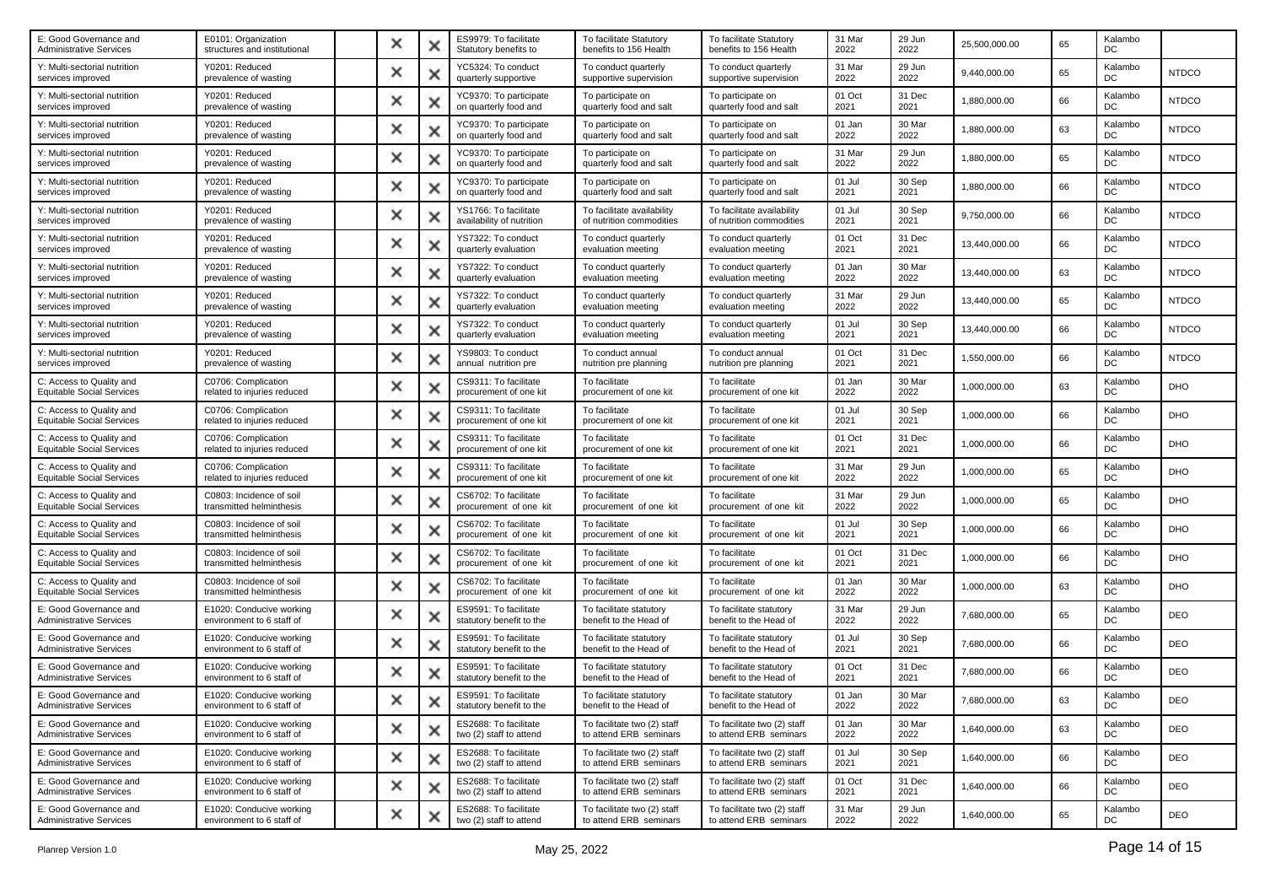| E: Good Governance and<br><b>Administrative Services</b>     | E0101: Organization<br>structures and institutional   | × |   | ES9979: To facilitate<br>Statutory benefits to     | To facilitate Statutory<br>benefits to 156 Health      | To facilitate Statutory<br>benefits to 156 Health      | 31 Mar<br>2022 | 29 Jun<br>2022 | 25,500,000.00 | 65 | Kalambo<br>DC |              |
|--------------------------------------------------------------|-------------------------------------------------------|---|---|----------------------------------------------------|--------------------------------------------------------|--------------------------------------------------------|----------------|----------------|---------------|----|---------------|--------------|
| Y: Multi-sectorial nutrition<br>services improved            | Y0201: Reduced<br>prevalence of wasting               | × | х | YC5324: To conduct<br>quarterly supportive         | To conduct quarterly<br>supportive supervision         | To conduct quarterly<br>supportive supervision         | 31 Mar<br>2022 | 29 Jun<br>2022 | 9,440,000.00  | 65 | Kalambo<br>DC | <b>NTDCO</b> |
| Y: Multi-sectorial nutrition<br>services improved            | Y0201: Reduced<br>prevalence of wasting               | × | × | YC9370: To participate<br>on quarterly food and    | To participate on<br>quarterly food and salt           | To participate on<br>quarterly food and salt           | 01 Oct<br>2021 | 31 Dec<br>2021 | 1,880,000.00  | 66 | Kalambo<br>DC | <b>NTDCO</b> |
| Y: Multi-sectorial nutrition<br>services improved            | Y0201: Reduced<br>prevalence of wasting               | × |   | YC9370: To participate<br>on quarterly food and    | To participate on<br>quarterly food and salt           | To participate on<br>quarterly food and salt           | 01 Jan<br>2022 | 30 Mar<br>2022 | 1,880,000.00  | 63 | Kalambo<br>DC | <b>NTDCO</b> |
| Y: Multi-sectorial nutrition<br>services improved            | Y0201: Reduced<br>prevalence of wasting               | × | х | YC9370: To participate<br>on quarterly food and    | To participate on<br>quarterly food and salt           | To participate on<br>quarterly food and salt           | 31 Mar<br>2022 | 29 Jun<br>2022 | 1,880,000.00  | 65 | Kalambo<br>DC | <b>NTDCO</b> |
| Y: Multi-sectorial nutrition<br>services improved            | Y0201: Reduced<br>prevalence of wasting               | × | × | YC9370: To participate<br>on quarterly food and    | To participate on<br>quarterly food and salt           | To participate on<br>quarterly food and salt           | 01 Jul<br>2021 | 30 Sep<br>2021 | 1,880,000.00  | 66 | Kalambo<br>DC | <b>NTDCO</b> |
| Y: Multi-sectorial nutrition<br>services improved            | Y0201: Reduced<br>prevalence of wasting               | × | x | YS1766: To facilitate<br>availability of nutrition | To facilitate availability<br>of nutrition commodities | To facilitate availability<br>of nutrition commodities | 01 Jul<br>2021 | 30 Sep<br>2021 | 9,750,000.00  | 66 | Kalambo<br>DC | <b>NTDCO</b> |
| Y: Multi-sectorial nutrition<br>services improved            | Y0201: Reduced<br>prevalence of wasting               | × | х | YS7322: To conduct<br>quarterly evaluation         | To conduct quarterly<br>evaluation meeting             | To conduct quarterly<br>evaluation meeting             | 01 Oct<br>2021 | 31 Dec<br>2021 | 13,440,000.00 | 66 | Kalambo<br>DC | <b>NTDCO</b> |
| Y: Multi-sectorial nutrition<br>services improved            | Y0201: Reduced<br>prevalence of wasting               | × | × | YS7322: To conduct<br>quarterly evaluation         | To conduct quarterly<br>evaluation meeting             | To conduct quarterly<br>evaluation meeting             | 01 Jan<br>2022 | 30 Mar<br>2022 | 13,440,000.00 | 63 | Kalambo<br>DC | <b>NTDCO</b> |
| Y: Multi-sectorial nutrition<br>services improved            | Y0201: Reduced<br>prevalence of wasting               | × |   | YS7322: To conduct<br>quarterly evaluation         | To conduct quarterly<br>evaluation meeting             | To conduct quarterly<br>evaluation meeting             | 31 Mar<br>2022 | 29 Jun<br>2022 | 13,440,000.00 | 65 | Kalambo<br>DC | <b>NTDCO</b> |
| Y: Multi-sectorial nutrition<br>services improved            | Y0201: Reduced<br>prevalence of wasting               | × | x | YS7322: To conduct<br>quarterly evaluation         | To conduct quarterly<br>evaluation meeting             | To conduct quarterly<br>evaluation meeting             | 01 Jul<br>2021 | 30 Sep<br>2021 | 13.440.000.00 | 66 | Kalambo<br>DC | <b>NTDCO</b> |
| Y: Multi-sectorial nutrition<br>services improved            | Y0201: Reduced<br>prevalence of wasting               | × | × | YS9803: To conduct<br>annual nutrition pre         | To conduct annual<br>nutrition pre planning            | To conduct annual<br>nutrition pre planning            | 01 Oct<br>2021 | 31 Dec<br>2021 | 1,550,000.00  | 66 | Kalambo<br>DC | <b>NTDCO</b> |
| C: Access to Quality and<br><b>Equitable Social Services</b> | C0706: Complication<br>related to injuries reduced    | × |   | CS9311: To facilitate<br>procurement of one kit    | To facilitate<br>procurement of one kit                | To facilitate<br>procurement of one kit                | 01 Jan<br>2022 | 30 Mar<br>2022 | 1,000,000.00  | 63 | Kalambo<br>DC | DHO          |
| C: Access to Quality and<br><b>Equitable Social Services</b> | C0706: Complication<br>related to injuries reduced    | × |   | CS9311: To facilitate<br>procurement of one kit    | To facilitate<br>procurement of one kit                | To facilitate<br>procurement of one kit                | 01 Jul<br>2021 | 30 Sep<br>2021 | 1,000,000.00  | 66 | Kalambo<br>DC | <b>DHO</b>   |
| C: Access to Quality and<br><b>Equitable Social Services</b> | C0706: Complication<br>related to injuries reduced    | × | × | CS9311: To facilitate<br>procurement of one kit    | To facilitate<br>procurement of one kit                | To facilitate<br>procurement of one kit                | 01 Oct<br>2021 | 31 Dec<br>2021 | 1,000,000.00  | 66 | Kalambo<br>DC | DHO          |
| C: Access to Quality and<br><b>Equitable Social Services</b> | C0706: Complication<br>related to injuries reduced    | × |   | CS9311: To facilitate<br>procurement of one kit    | To facilitate<br>procurement of one kit                | To facilitate<br>procurement of one kit                | 31 Mar<br>2022 | 29 Jun<br>2022 | 1,000,000.00  | 65 | Kalambo<br>DC | DHO          |
| C: Access to Quality and<br><b>Equitable Social Services</b> | C0803: Incidence of soil<br>transmitted helminthesis  | × | х | CS6702: To facilitate<br>procurement of one kit    | To facilitate<br>procurement of one kit                | To facilitate<br>procurement of one kit                | 31 Mar<br>2022 | 29 Jun<br>2022 | 1,000,000.00  | 65 | Kalambo<br>DC | <b>DHO</b>   |
| C: Access to Quality and<br><b>Equitable Social Services</b> | C0803: Incidence of soil<br>transmitted helminthesis  | × | × | CS6702: To facilitate<br>procurement of one kit    | To facilitate<br>procurement of one kit                | To facilitate<br>procurement of one kit                | 01 Jul<br>2021 | 30 Sep<br>2021 | 1,000,000.00  | 66 | Kalambo<br>DC | <b>DHO</b>   |
| C: Access to Quality and<br><b>Equitable Social Services</b> | C0803: Incidence of soil<br>transmitted helminthesis  | × |   | CS6702: To facilitate<br>procurement of one kit    | To facilitate<br>procurement of one kit                | To facilitate<br>procurement of one kit                | 01 Oct<br>2021 | 31 Dec<br>2021 | 1,000,000.00  | 66 | Kalambo<br>DC | DHO          |
| C: Access to Quality and<br>Equitable Social Services        | C0803: Incidence of soil<br>transmitted helminthesis  | × |   | CS6702: To facilitate<br>procurement of one kit    | To facilitate<br>procurement of one kit                | To facilitate<br>procurement of one kit                | 01 Jan<br>2022 | 30 Mar<br>2022 | 1,000,000.00  | 63 | Kalambo<br>DC | DHO          |
| E: Good Governance and<br><b>Administrative Services</b>     | E1020: Conducive working<br>environment to 6 staff of | × | x | ES9591: To facilitate<br>statutory benefit to the  | To facilitate statutory<br>benefit to the Head of      | To facilitate statutory<br>benefit to the Head of      | 31 Mar<br>2022 | 29 Jun<br>2022 | 7,680,000.00  | 65 | Kalambo<br>DC | <b>DEO</b>   |
| E: Good Governance and<br><b>Administrative Services</b>     | E1020: Conducive working<br>environment to 6 staff of | × | × | ES9591: To facilitate<br>statutory benefit to the  | To facilitate statutory<br>benefit to the Head of      | To facilitate statutory<br>benefit to the Head of      | 01 Jul<br>2021 | 30 Sep<br>2021 | 7,680,000.00  | 66 | Kalambo<br>DC | <b>DEO</b>   |
| E: Good Governance and<br>Administrative Services            | E1020: Conducive working<br>environment to 6 staff of | × |   | ES9591: To facilitate<br>statutory benefit to the  | To facilitate statutory<br>benefit to the Head of      | To facilitate statutory<br>benefit to the Head of      | 01 Oct<br>2021 | 31 Dec<br>2021 | 7,680,000.00  | 66 | Kalambo<br>DC | <b>DEO</b>   |
| E: Good Governance and<br><b>Administrative Services</b>     | E1020: Conducive working<br>environment to 6 staff of |   |   | ES9591: To facilitate<br>statutory benefit to the  | To facilitate statutory<br>benefit to the Head of      | To facilitate statutory<br>benefit to the Head of      | 01 Jan<br>2022 | 30 Mar<br>2022 | 7,680,000.00  | 63 | Kalambo<br>DC | <b>DEO</b>   |
| E: Good Governance and<br><b>Administrative Services</b>     | E1020: Conducive working<br>environment to 6 staff of | × | × | ES2688: To facilitate<br>two (2) staff to attend   | To facilitate two (2) staff<br>to attend ERB seminars  | To facilitate two (2) staff<br>to attend ERB seminars  | 01 Jan<br>2022 | 30 Mar<br>2022 | 1,640,000.00  | 63 | Kalambo<br>DC | <b>DEO</b>   |
| E: Good Governance and<br><b>Administrative Services</b>     | E1020: Conducive working<br>environment to 6 staff of | × | х | ES2688: To facilitate<br>two (2) staff to attend   | To facilitate two (2) staff<br>to attend ERB seminars  | To facilitate two (2) staff<br>to attend ERB seminars  | 01 Jul<br>2021 | 30 Sep<br>2021 | 1,640,000.00  | 66 | Kalambo<br>DC | <b>DEO</b>   |
| E: Good Governance and<br><b>Administrative Services</b>     | E1020: Conducive working<br>environment to 6 staff of | × | × | ES2688: To facilitate<br>two (2) staff to attend   | To facilitate two (2) staff<br>to attend ERB seminars  | To facilitate two (2) staff<br>to attend ERB seminars  | 01 Oct<br>2021 | 31 Dec<br>2021 | 1,640,000.00  | 66 | Kalambo<br>DC | <b>DEO</b>   |
| E: Good Governance and<br><b>Administrative Services</b>     | E1020: Conducive working<br>environment to 6 staff of | × | × | ES2688: To facilitate<br>two (2) staff to attend   | To facilitate two (2) staff<br>to attend ERB seminars  | To facilitate two (2) staff<br>to attend ERB seminars  | 31 Mar<br>2022 | 29 Jun<br>2022 | 1,640,000.00  | 65 | Kalambo<br>DC | DEO          |